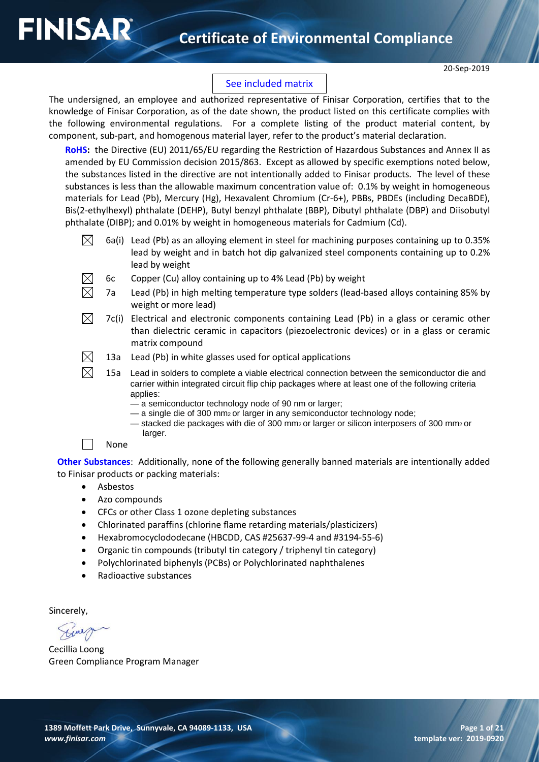## **Certificate of Environmental Compliance**

## See included matrix

The undersigned, an employee and authorized representative of Finisar Corporation, certifies that to the knowledge of Finisar Corporation, as of the date shown, the product listed on this certificate complies with the following environmental regulations. For a complete listing of the product material content, by component, sub-part, and homogenous material layer, refer to the product's material declaration.

**RoHS:** the Directive (EU) 2011/65/EU regarding the Restriction of Hazardous Substances and Annex II as amended by EU Commission decision 2015/863. Except as allowed by specific exemptions noted below, the substances listed in the directive are not intentionally added to Finisar products. The level of these substances is less than the allowable maximum concentration value of: 0.1% by weight in homogeneous materials for Lead (Pb), Mercury (Hg), Hexavalent Chromium (Cr-6+), PBBs, PBDEs (including DecaBDE), Bis(2-ethylhexyl) phthalate (DEHP), Butyl benzyl phthalate (BBP), Dibutyl phthalate (DBP) and Diisobutyl phthalate (DIBP); and 0.01% by weight in homogeneous materials for Cadmium (Cd).

- $\boxtimes$ 6a(i) Lead (Pb) as an alloying element in steel for machining purposes containing up to 0.35% lead by weight and in batch hot dip galvanized steel components containing up to 0.2% lead by weight
	- 6c Copper (Cu) alloy containing up to 4% Lead (Pb) by weight
	- 7a Lead (Pb) in high melting temperature type solders (lead-based alloys containing 85% by weight or more lead)
- $\boxtimes$ 7c(i) Electrical and electronic components containing Lead (Pb) in a glass or ceramic other than dielectric ceramic in capacitors (piezoelectronic devices) or in a glass or ceramic matrix compound
- $\boxtimes$ 13a Lead (Pb) in white glasses used for optical applications
- $\boxtimes$ 15a Lead in solders to complete a viable electrical connection between the semiconductor die and carrier within integrated circuit flip chip packages where at least one of the following criteria applies:
	- a semiconductor technology node of 90 nm or larger;
	- $-$  a single die of 300 mm<sub>2</sub> or larger in any semiconductor technology node;
	- stacked die packages with die of 300 mm2 or larger or silicon interposers of 300 mm2 or larger.
	- None

**FINISAR** 

**Other Substances**: Additionally, none of the following generally banned materials are intentionally added to Finisar products or packing materials:

- Asbestos
- Azo compounds
- CFCs or other Class 1 ozone depleting substances
- Chlorinated paraffins (chlorine flame retarding materials/plasticizers)
- Hexabromocyclododecane (HBCDD, CAS #25637-99-4 and #3194-55-6)
- Organic tin compounds (tributyl tin category / triphenyl tin category)
- Polychlorinated biphenyls (PCBs) or Polychlorinated naphthalenes
- Radioactive substances

Sincerely,

Cecillia Loong Green Compliance Program Manager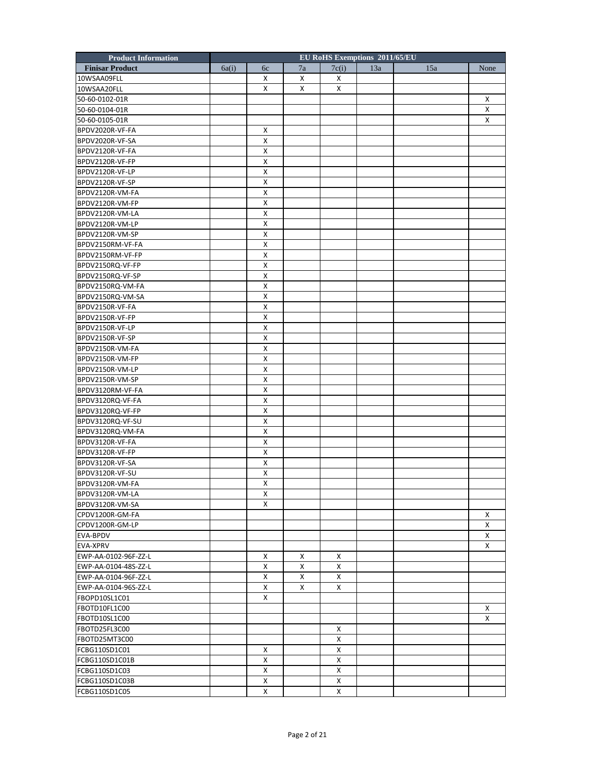| <b>Product Information</b> |       |             |    |       | <b>EU RoHS Exemptions 2011/65/EU</b> |     |      |
|----------------------------|-------|-------------|----|-------|--------------------------------------|-----|------|
| <b>Finisar Product</b>     | 6a(i) | 6c          | 7a | 7c(i) | 13a                                  | 15a | None |
| 10WSAA09FLL                |       | X           | X  | Χ     |                                      |     |      |
| 10WSAA20FLL                |       | X           | X  | X     |                                      |     |      |
| 50-60-0102-01R             |       |             |    |       |                                      |     | X    |
| 50-60-0104-01R             |       |             |    |       |                                      |     | X    |
| 50-60-0105-01R             |       |             |    |       |                                      |     | X    |
| BPDV2020R-VF-FA            |       | X           |    |       |                                      |     |      |
| BPDV2020R-VF-SA            |       | х           |    |       |                                      |     |      |
| BPDV2120R-VF-FA            |       | х           |    |       |                                      |     |      |
| BPDV2120R-VF-FP            |       | X           |    |       |                                      |     |      |
| BPDV2120R-VF-LP            |       | x           |    |       |                                      |     |      |
| BPDV2120R-VF-SP            |       | x           |    |       |                                      |     |      |
| BPDV2120R-VM-FA            |       | х           |    |       |                                      |     |      |
| BPDV2120R-VM-FP            |       | х           |    |       |                                      |     |      |
| BPDV2120R-VM-LA            |       | x           |    |       |                                      |     |      |
| BPDV2120R-VM-LP            |       | x           |    |       |                                      |     |      |
| BPDV2120R-VM-SP            |       | X           |    |       |                                      |     |      |
| BPDV2150RM-VF-FA           |       | х           |    |       |                                      |     |      |
| BPDV2150RM-VF-FP           |       | х           |    |       |                                      |     |      |
| BPDV2150RQ-VF-FP           |       | X           |    |       |                                      |     |      |
| BPDV2150RQ-VF-SP           |       | x           |    |       |                                      |     |      |
| BPDV2150RQ-VM-FA           |       | x           |    |       |                                      |     |      |
| BPDV2150RQ-VM-SA           |       | х           |    |       |                                      |     |      |
| BPDV2150R-VF-FA            |       | х           |    |       |                                      |     |      |
| BPDV2150R-VF-FP            |       | x           |    |       |                                      |     |      |
| BPDV2150R-VF-LP            |       | x           |    |       |                                      |     |      |
| BPDV2150R-VF-SP            |       | X           |    |       |                                      |     |      |
| BPDV2150R-VM-FA            |       | х           |    |       |                                      |     |      |
| BPDV2150R-VM-FP            |       | х           |    |       |                                      |     |      |
| BPDV2150R-VM-LP            |       | X           |    |       |                                      |     |      |
| BPDV2150R-VM-SP            |       | X           |    |       |                                      |     |      |
| BPDV3120RM-VF-FA           |       | x           |    |       |                                      |     |      |
| BPDV3120RQ-VF-FA           |       | х           |    |       |                                      |     |      |
| BPDV3120RQ-VF-FP           |       | х           |    |       |                                      |     |      |
| BPDV3120RQ-VF-SU           |       | X           |    |       |                                      |     |      |
| BPDV3120RQ-VM-FA           |       | X           |    |       |                                      |     |      |
| BPDV3120R-VF-FA            |       | x           |    |       |                                      |     |      |
|                            |       |             |    |       |                                      |     |      |
| BPDV3120R-VF-FP            |       | х           |    |       |                                      |     |      |
| BPDV3120R-VF-SA            |       | х<br>x      |    |       |                                      |     |      |
| BPDV3120R-VF-SU            |       |             |    |       |                                      |     |      |
| BPDV3120R-VM-FA            |       | $\mathsf X$ |    |       |                                      |     |      |
| BPDV3120R-VM-LA            |       | X           |    |       |                                      |     |      |
| BPDV3120R-VM-SA            |       | x           |    |       |                                      |     |      |
| CPDV1200R-GM-FA            |       |             |    |       |                                      |     | X    |
| CPDV1200R-GM-LP            |       |             |    |       |                                      |     | X    |
| EVA-BPDV                   |       |             |    |       |                                      |     | X    |
| <b>EVA-XPRV</b>            |       |             |    |       |                                      |     | X    |
| EWP-AA-0102-96F-ZZ-L       |       | X           | X  | x     |                                      |     |      |
| EWP-AA-0104-48S-ZZ-L       |       | x           | X  | х     |                                      |     |      |
| EWP-AA-0104-96F-ZZ-L       |       | X           | X  | X     |                                      |     |      |
| EWP-AA-0104-96S-ZZ-L       |       | X           | X  | X     |                                      |     |      |
| FBOPD10SL1C01              |       | X           |    |       |                                      |     |      |
| FBOTD10FL1C00              |       |             |    |       |                                      |     | X    |
| FBOTD10SL1C00              |       |             |    |       |                                      |     | x    |
| FBOTD25FL3C00              |       |             |    | X     |                                      |     |      |
| FBOTD25MT3C00              |       |             |    | X     |                                      |     |      |
| FCBG110SD1C01              |       | X           |    | X     |                                      |     |      |
| FCBG110SD1C01B             |       | X           |    | X     |                                      |     |      |
| FCBG110SD1C03              |       | х           |    | х     |                                      |     |      |
| FCBG110SD1C03B             |       | X           |    | X     |                                      |     |      |
| FCBG110SD1C05              |       | x           |    | x     |                                      |     |      |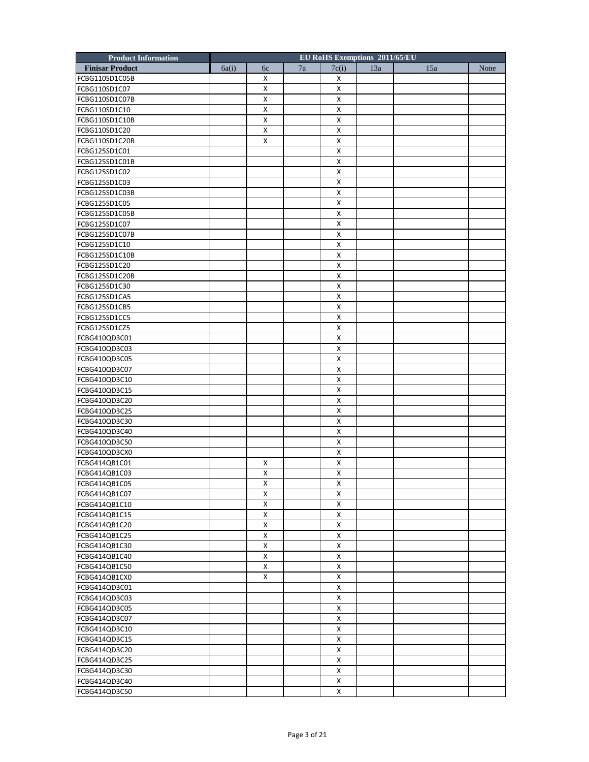| <b>Product Information</b> |       |              |    |                    | EU RoHS Exemptions 2011/65/EU |     |      |
|----------------------------|-------|--------------|----|--------------------|-------------------------------|-----|------|
| <b>Finisar Product</b>     | 6a(i) | 6c           | 7a | 7c(i)              | 13a                           | 15a | None |
| FCBG110SD1C05B             |       | X            |    | х                  |                               |     |      |
| FCBG110SD1C07              |       | x            |    | Х                  |                               |     |      |
| FCBG110SD1C07B             |       | X            |    | X                  |                               |     |      |
| FCBG110SD1C10              |       | x            |    | X                  |                               |     |      |
| FCBG110SD1C10B             |       | X            |    | X                  |                               |     |      |
| FCBG110SD1C20              |       | x            |    | X                  |                               |     |      |
| FCBG110SD1C20B             |       | X            |    | х                  |                               |     |      |
| FCBG125SD1C01              |       |              |    | X                  |                               |     |      |
| FCBG125SD1C01B             |       |              |    | X                  |                               |     |      |
| FCBG125SD1C02              |       |              |    | X                  |                               |     |      |
| FCBG125SD1C03              |       |              |    | X                  |                               |     |      |
| FCBG125SD1C03B             |       |              |    | Χ                  |                               |     |      |
| FCBG125SD1C05              |       |              |    | X                  |                               |     |      |
| FCBG125SD1C05B             |       |              |    | X                  |                               |     |      |
| FCBG125SD1C07              |       |              |    | X                  |                               |     |      |
| FCBG125SD1C07B             |       |              |    | X                  |                               |     |      |
| FCBG125SD1C10              |       |              |    | X                  |                               |     |      |
| FCBG125SD1C10B             |       |              |    | X                  |                               |     |      |
| FCBG125SD1C20              |       |              |    | X                  |                               |     |      |
| FCBG125SD1C20B             |       |              |    | X                  |                               |     |      |
| FCBG125SD1C30              |       |              |    | X                  |                               |     |      |
| FCBG125SD1CA5              |       |              |    | X                  |                               |     |      |
| FCBG125SD1CB5              |       |              |    | X                  |                               |     |      |
| FCBG125SD1CC5              |       |              |    | X                  |                               |     |      |
| FCBG125SD1CZ5              |       |              |    | Χ                  |                               |     |      |
| FCBG410QD3C01              |       |              |    | X                  |                               |     |      |
| FCBG410QD3C03              |       |              |    | X                  |                               |     |      |
| FCBG410QD3C05              |       |              |    | X                  |                               |     |      |
| FCBG410QD3C07              |       |              |    | X                  |                               |     |      |
| FCBG410QD3C10              |       |              |    | $\pmb{\times}$     |                               |     |      |
| FCBG410QD3C15              |       |              |    | X                  |                               |     |      |
| FCBG410QD3C20              |       |              |    | Χ                  |                               |     |      |
| FCBG410QD3C25              |       |              |    | X                  |                               |     |      |
| FCBG410QD3C30              |       |              |    | X                  |                               |     |      |
| FCBG410QD3C40              |       |              |    | X                  |                               |     |      |
| FCBG410QD3C50              |       |              |    | X                  |                               |     |      |
| FCBG410QD3CX0              |       |              |    | х                  |                               |     |      |
| FCBG414QB1C01              |       | x            |    | X                  |                               |     |      |
| FCBG414QB1C03              |       | x            |    | х                  |                               |     |      |
| FCBG414QB1C05              |       | $\pmb{\chi}$ |    | $\pmb{\chi}$       |                               |     |      |
| FCBG414QB1C07              |       | x            |    | X                  |                               |     |      |
| FCBG414QB1C10              |       | x            |    | X                  |                               |     |      |
| FCBG414QB1C15              |       | X            |    | X                  |                               |     |      |
| FCBG414QB1C20              |       | X            |    | X                  |                               |     |      |
| FCBG414QB1C25              |       | X            |    | $\pmb{\mathsf{X}}$ |                               |     |      |
| FCBG414QB1C30              |       | X            |    | X                  |                               |     |      |
| FCBG414QB1C40              |       | x            |    | X                  |                               |     |      |
| FCBG414QB1C50              |       | X            |    | X                  |                               |     |      |
| FCBG414QB1CX0              |       | X            |    | X                  |                               |     |      |
| FCBG414QD3C01              |       |              |    | $\pmb{\mathsf{X}}$ |                               |     |      |
|                            |       |              |    | X                  |                               |     |      |
| FCBG414QD3C03              |       |              |    |                    |                               |     |      |
| FCBG414QD3C05              |       |              |    | X<br>X             |                               |     |      |
| FCBG414QD3C07              |       |              |    |                    |                               |     |      |
| FCBG414QD3C10              |       |              |    | X                  |                               |     |      |
| FCBG414QD3C15              |       |              |    | $\pmb{\mathsf{X}}$ |                               |     |      |
| FCBG414QD3C20              |       |              |    | X                  |                               |     |      |
| FCBG414QD3C25              |       |              |    | X                  |                               |     |      |
| FCBG414QD3C30              |       |              |    | X                  |                               |     |      |
| FCBG414QD3C40              |       |              |    | X                  |                               |     |      |
| FCBG414QD3C50              |       |              |    | X                  |                               |     |      |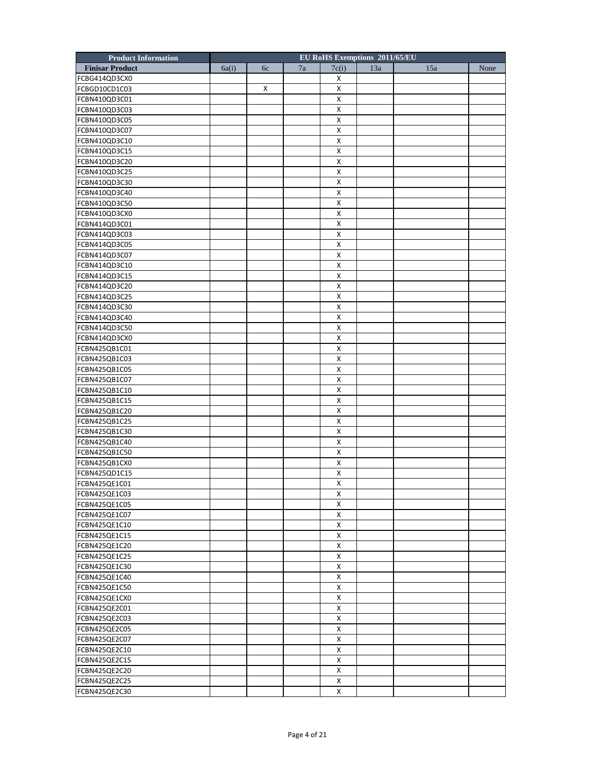| <b>Product Information</b> |       |    |    | <b>EU RoHS Exemptions 2011/65/EU</b> |     |     |      |
|----------------------------|-------|----|----|--------------------------------------|-----|-----|------|
| <b>Finisar Product</b>     | 6a(i) | 6c | 7a | 7c(i)                                | 13a | 15a | None |
| FCBG414QD3CX0              |       |    |    | х                                    |     |     |      |
| FCBGD10CD1C03              |       | x  |    | х                                    |     |     |      |
| FCBN410QD3C01              |       |    |    | X                                    |     |     |      |
| FCBN410QD3C03              |       |    |    | X                                    |     |     |      |
| FCBN410QD3C05              |       |    |    | X                                    |     |     |      |
| FCBN410QD3C07              |       |    |    | X                                    |     |     |      |
| FCBN410QD3C10              |       |    |    | х                                    |     |     |      |
| FCBN410QD3C15              |       |    |    | X                                    |     |     |      |
| FCBN410QD3C20              |       |    |    | X                                    |     |     |      |
| FCBN410QD3C25              |       |    |    | X                                    |     |     |      |
| FCBN410QD3C30              |       |    |    | X                                    |     |     |      |
| FCBN410QD3C40              |       |    |    | х                                    |     |     |      |
|                            |       |    |    | $\mathsf{x}$                         |     |     |      |
| FCBN410QD3C50              |       |    |    | X                                    |     |     |      |
| FCBN410QD3CX0              |       |    |    |                                      |     |     |      |
| FCBN414QD3C01              |       |    |    | X                                    |     |     |      |
| FCBN414QD3C03              |       |    |    | X                                    |     |     |      |
| FCBN414QD3C05              |       |    |    | х                                    |     |     |      |
| FCBN414QD3C07              |       |    |    | X                                    |     |     |      |
| FCBN414QD3C10              |       |    |    | X                                    |     |     |      |
| FCBN414QD3C15              |       |    |    | X                                    |     |     |      |
| FCBN414QD3C20              |       |    |    | X                                    |     |     |      |
| FCBN414QD3C25              |       |    |    | X                                    |     |     |      |
| FCBN414QD3C30              |       |    |    | X                                    |     |     |      |
| FCBN414QD3C40              |       |    |    | X                                    |     |     |      |
| FCBN414QD3C50              |       |    |    | X                                    |     |     |      |
| FCBN414QD3CX0              |       |    |    | X                                    |     |     |      |
| FCBN425QB1C01              |       |    |    | х                                    |     |     |      |
| FCBN425QB1C03              |       |    |    | X                                    |     |     |      |
| FCBN425QB1C05              |       |    |    | X                                    |     |     |      |
| FCBN425QB1C07              |       |    |    | $\pmb{\mathsf{X}}$                   |     |     |      |
| FCBN425QB1C10              |       |    |    | X                                    |     |     |      |
| FCBN425QB1C15              |       |    |    | Χ                                    |     |     |      |
| FCBN425QB1C20              |       |    |    | X                                    |     |     |      |
| FCBN425QB1C25              |       |    |    | X                                    |     |     |      |
| FCBN425QB1C30              |       |    |    | $\pmb{\times}$                       |     |     |      |
| FCBN425QB1C40              |       |    |    | X                                    |     |     |      |
| FCBN425QB1C50              |       |    |    | х                                    |     |     |      |
| FCBN425QB1CX0              |       |    |    | X                                    |     |     |      |
| FCBN425QD1C15              |       |    |    | X                                    |     |     |      |
| FCBN425QE1C01              |       |    |    | $\pmb{\chi}$                         |     |     |      |
| FCBN425QE1C03              |       |    |    | Χ                                    |     |     |      |
| FCBN425QE1C05              |       |    |    | x                                    |     |     |      |
| FCBN425QE1C07              |       |    |    | X                                    |     |     |      |
| FCBN425QE1C10              |       |    |    | X                                    |     |     |      |
| FCBN425QE1C15              |       |    |    | $\pmb{\times}$                       |     |     |      |
| FCBN425QE1C20              |       |    |    | X                                    |     |     |      |
|                            |       |    |    |                                      |     |     |      |
| FCBN425QE1C25              |       |    |    | X<br>X                               |     |     |      |
| FCBN425QE1C30              |       |    |    |                                      |     |     |      |
| FCBN425QE1C40              |       |    |    | X                                    |     |     |      |
| FCBN425QE1C50              |       |    |    | $\pmb{\mathsf{X}}$                   |     |     |      |
| FCBN425QE1CX0              |       |    |    | X                                    |     |     |      |
| FCBN425QE2C01              |       |    |    | X                                    |     |     |      |
| FCBN425QE2C03              |       |    |    | X                                    |     |     |      |
| FCBN425QE2C05              |       |    |    | X                                    |     |     |      |
| FCBN425QE2C07              |       |    |    | $\pmb{\times}$                       |     |     |      |
| FCBN425QE2C10              |       |    |    | X                                    |     |     |      |
| FCBN425QE2C15              |       |    |    | X                                    |     |     |      |
| FCBN425QE2C20              |       |    |    | X                                    |     |     |      |
| FCBN425QE2C25              |       |    |    | X                                    |     |     |      |
| FCBN425QE2C30              |       |    |    | X                                    |     |     |      |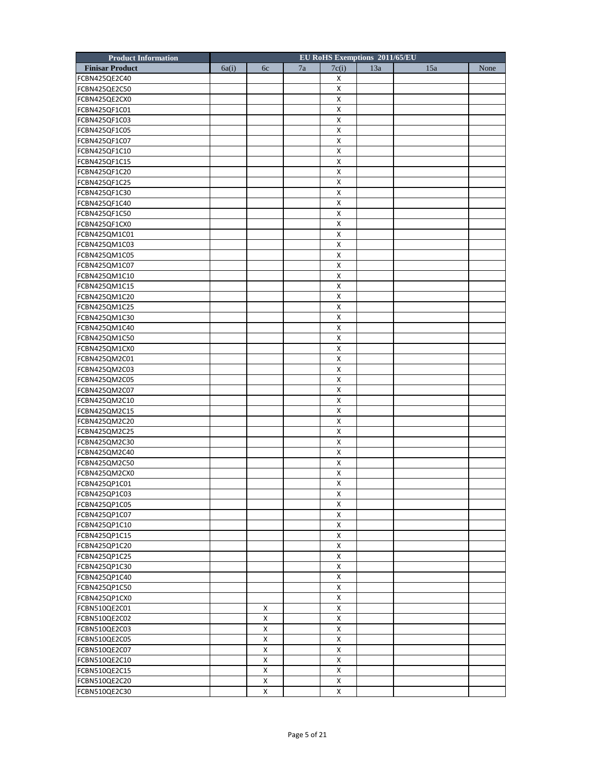| <b>Product Information</b> |       |                    |    |                    | <b>EU RoHS Exemptions 2011/65/EU</b> |     |      |
|----------------------------|-------|--------------------|----|--------------------|--------------------------------------|-----|------|
| <b>Finisar Product</b>     | 6a(i) | 6c                 | 7a | 7c(i)              | 13a                                  | 15a | None |
| FCBN425QE2C40              |       |                    |    | Х                  |                                      |     |      |
| FCBN425QE2C50              |       |                    |    | х                  |                                      |     |      |
| FCBN425QE2CX0              |       |                    |    | X                  |                                      |     |      |
| FCBN425QF1C01              |       |                    |    | X                  |                                      |     |      |
| FCBN425QF1C03              |       |                    |    | X                  |                                      |     |      |
| FCBN425QF1C05              |       |                    |    | X                  |                                      |     |      |
| FCBN425QF1C07              |       |                    |    | х                  |                                      |     |      |
| FCBN425QF1C10              |       |                    |    | X                  |                                      |     |      |
| FCBN425QF1C15              |       |                    |    | X                  |                                      |     |      |
| FCBN425QF1C20              |       |                    |    | X                  |                                      |     |      |
| FCBN425QF1C25              |       |                    |    | X                  |                                      |     |      |
| FCBN425QF1C30              |       |                    |    | Χ                  |                                      |     |      |
|                            |       |                    |    | X                  |                                      |     |      |
| FCBN425QF1C40              |       |                    |    | X                  |                                      |     |      |
| FCBN425QF1C50              |       |                    |    |                    |                                      |     |      |
| FCBN425QF1CX0              |       |                    |    | X                  |                                      |     |      |
| FCBN425QM1C01              |       |                    |    | X                  |                                      |     |      |
| FCBN425QM1C03              |       |                    |    | х                  |                                      |     |      |
| FCBN425QM1C05              |       |                    |    | X                  |                                      |     |      |
| FCBN425QM1C07              |       |                    |    | X                  |                                      |     |      |
| FCBN425QM1C10              |       |                    |    | X                  |                                      |     |      |
| FCBN425QM1C15              |       |                    |    | X                  |                                      |     |      |
| FCBN425QM1C20              |       |                    |    | Χ                  |                                      |     |      |
| FCBN425QM1C25              |       |                    |    | X                  |                                      |     |      |
| FCBN425QM1C30              |       |                    |    | X                  |                                      |     |      |
| FCBN425QM1C40              |       |                    |    | X                  |                                      |     |      |
| FCBN425QM1C50              |       |                    |    | X                  |                                      |     |      |
| FCBN425QM1CX0              |       |                    |    | х                  |                                      |     |      |
| FCBN425QM2C01              |       |                    |    | X                  |                                      |     |      |
| FCBN425QM2C03              |       |                    |    | X                  |                                      |     |      |
| FCBN425QM2C05              |       |                    |    | $\pmb{\times}$     |                                      |     |      |
| FCBN425QM2C07              |       |                    |    | X                  |                                      |     |      |
| FCBN425QM2C10              |       |                    |    | Χ                  |                                      |     |      |
| FCBN425QM2C15              |       |                    |    | X                  |                                      |     |      |
| FCBN425QM2C20              |       |                    |    | X                  |                                      |     |      |
| FCBN425QM2C25              |       |                    |    | $\pmb{\times}$     |                                      |     |      |
| FCBN425QM2C30              |       |                    |    | X                  |                                      |     |      |
| FCBN425QM2C40              |       |                    |    | х                  |                                      |     |      |
| FCBN425QM2C50              |       |                    |    | X                  |                                      |     |      |
| FCBN425QM2CX0              |       |                    |    | X                  |                                      |     |      |
| FCBN425QP1C01              |       |                    |    | $\pmb{\chi}$       |                                      |     |      |
| FCBN425QP1C03              |       |                    |    | X                  |                                      |     |      |
| FCBN425QP1C05              |       |                    |    | x                  |                                      |     |      |
| FCBN425QP1C07              |       |                    |    | X                  |                                      |     |      |
| FCBN425QP1C10              |       |                    |    | $\pmb{\mathsf{X}}$ |                                      |     |      |
| FCBN425QP1C15              |       |                    |    | $\pmb{\times}$     |                                      |     |      |
| FCBN425QP1C20              |       |                    |    | X                  |                                      |     |      |
|                            |       |                    |    |                    |                                      |     |      |
| FCBN425QP1C25              |       |                    |    | X<br>X             |                                      |     |      |
| FCBN425QP1C30              |       |                    |    |                    |                                      |     |      |
| FCBN425QP1C40              |       |                    |    | X                  |                                      |     |      |
| FCBN425QP1C50              |       |                    |    | $\pmb{\times}$     |                                      |     |      |
| FCBN425QP1CX0              |       |                    |    | X                  |                                      |     |      |
| FCBN510QE2C01              |       | x                  |    | X                  |                                      |     |      |
| FCBN510QE2C02              |       | X                  |    | $\pmb{\mathsf{X}}$ |                                      |     |      |
| FCBN510QE2C03              |       | $\pmb{\mathsf{X}}$ |    | $\pmb{\mathsf{X}}$ |                                      |     |      |
| FCBN510QE2C05              |       | X                  |    | $\pmb{\times}$     |                                      |     |      |
| FCBN510QE2C07              |       | X                  |    | X                  |                                      |     |      |
| FCBN510QE2C10              |       | X                  |    | X                  |                                      |     |      |
| FCBN510QE2C15              |       | X                  |    | X                  |                                      |     |      |
| FCBN510QE2C20              |       | X                  |    | X                  |                                      |     |      |
| FCBN510QE2C30              |       | X                  |    | X                  |                                      |     |      |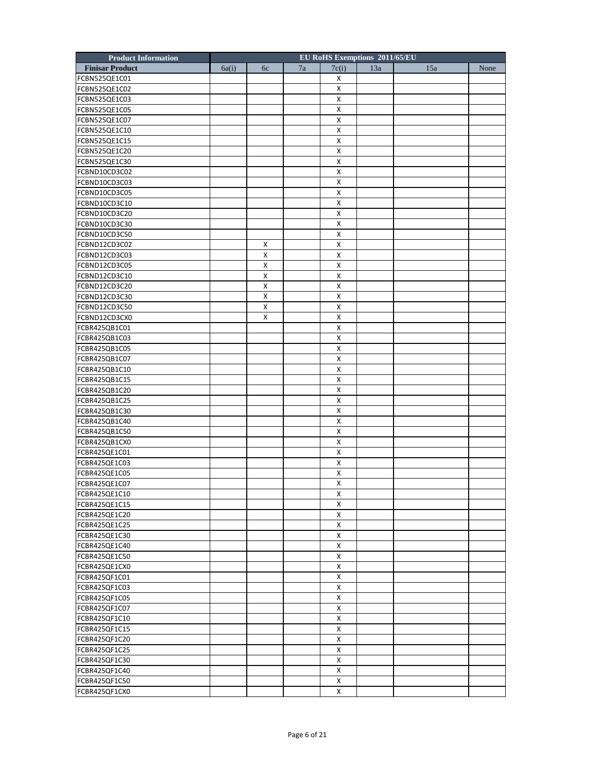| <b>Product Information</b> |       |                    |    |                    | EU RoHS Exemptions 2011/65/EU |     |      |
|----------------------------|-------|--------------------|----|--------------------|-------------------------------|-----|------|
| <b>Finisar Product</b>     | 6a(i) | 6c                 | 7a | 7c(i)              | 13a                           | 15a | None |
| FCBN525QE1C01              |       |                    |    | х                  |                               |     |      |
| FCBN525QE1C02              |       |                    |    | Χ                  |                               |     |      |
| FCBN525QE1C03              |       |                    |    | х                  |                               |     |      |
| FCBN525QE1C05              |       |                    |    | Χ                  |                               |     |      |
| FCBN525QE1C07              |       |                    |    | X                  |                               |     |      |
| FCBN525QE1C10              |       |                    |    | х                  |                               |     |      |
| FCBN525QE1C15              |       |                    |    | Χ                  |                               |     |      |
| FCBN525QE1C20              |       |                    |    | х                  |                               |     |      |
| FCBN525QE1C30              |       |                    |    | X                  |                               |     |      |
| FCBND10CD3C02              |       |                    |    | X                  |                               |     |      |
| FCBND10CD3C03              |       |                    |    | X                  |                               |     |      |
| FCBND10CD3C05              |       |                    |    | Χ                  |                               |     |      |
| FCBND10CD3C10              |       |                    |    | Х                  |                               |     |      |
| FCBND10CD3C20              |       |                    |    | X                  |                               |     |      |
|                            |       |                    |    | X                  |                               |     |      |
| FCBND10CD3C30              |       |                    |    |                    |                               |     |      |
| FCBND10CD3C50              |       |                    |    | х                  |                               |     |      |
| FCBND12CD3C02              |       | x                  |    | Χ                  |                               |     |      |
| FCBND12CD3C03              |       | X                  |    | Х                  |                               |     |      |
| FCBND12CD3C05              |       | $\pmb{\mathsf{X}}$ |    | X                  |                               |     |      |
| FCBND12CD3C10              |       | $\pmb{\mathsf{X}}$ |    | X                  |                               |     |      |
| FCBND12CD3C20              |       | X                  |    | X                  |                               |     |      |
| FCBND12CD3C30              |       | X                  |    | Χ                  |                               |     |      |
| FCBND12CD3C50              |       | X                  |    | Х                  |                               |     |      |
| FCBND12CD3CX0              |       | X                  |    | X                  |                               |     |      |
| FCBR425QB1C01              |       |                    |    | X                  |                               |     |      |
| FCBR425QB1C03              |       |                    |    | х                  |                               |     |      |
| FCBR425QB1C05              |       |                    |    | Χ                  |                               |     |      |
| FCBR425QB1C07              |       |                    |    | х                  |                               |     |      |
| FCBR425QB1C10              |       |                    |    | X                  |                               |     |      |
| FCBR425QB1C15              |       |                    |    | X                  |                               |     |      |
| FCBR425QB1C20              |       |                    |    | X                  |                               |     |      |
| FCBR425QB1C25              |       |                    |    | Χ                  |                               |     |      |
| FCBR425QB1C30              |       |                    |    | Х                  |                               |     |      |
| FCBR425QB1C40              |       |                    |    | X                  |                               |     |      |
| FCBR425QB1C50              |       |                    |    | X                  |                               |     |      |
| FCBR425QB1CX0              |       |                    |    | х                  |                               |     |      |
| FCBR425QE1C01              |       |                    |    | Χ                  |                               |     |      |
| FCBR425QE1C03              |       |                    |    | х                  |                               |     |      |
| FCBR425QE1C05              |       |                    |    | X                  |                               |     |      |
| FCBR425QE1C07              |       |                    |    | $\pmb{\mathsf{X}}$ |                               |     |      |
| FCBR425QE1C10              |       |                    |    | Х                  |                               |     |      |
| FCBR425QE1C15              |       |                    |    | X                  |                               |     |      |
| FCBR425QE1C20              |       |                    |    | X                  |                               |     |      |
| FCBR425QE1C25              |       |                    |    | X                  |                               |     |      |
| FCBR425QE1C30              |       |                    |    | X                  |                               |     |      |
| FCBR425QE1C40              |       |                    |    | $\pmb{\mathsf{X}}$ |                               |     |      |
|                            |       |                    |    |                    |                               |     |      |
| FCBR425QE1C50              |       |                    |    | Х                  |                               |     |      |
| FCBR425QE1CX0              |       |                    |    | X                  |                               |     |      |
| FCBR425QF1C01              |       |                    |    | X                  |                               |     |      |
| FCBR425QF1C03              |       |                    |    | X                  |                               |     |      |
| FCBR425QF1C05              |       |                    |    | X                  |                               |     |      |
| FCBR425QF1C07              |       |                    |    | X                  |                               |     |      |
| FCBR425QF1C10              |       |                    |    | X                  |                               |     |      |
| FCBR425QF1C15              |       |                    |    | X                  |                               |     |      |
| FCBR425QF1C20              |       |                    |    | X                  |                               |     |      |
| FCBR425QF1C25              |       |                    |    | $\pmb{\mathsf{X}}$ |                               |     |      |
| FCBR425QF1C30              |       |                    |    | X                  |                               |     |      |
| FCBR425QF1C40              |       |                    |    | X                  |                               |     |      |
| FCBR425QF1C50              |       |                    |    | X                  |                               |     |      |
| FCBR425QF1CX0              |       |                    |    | X                  |                               |     |      |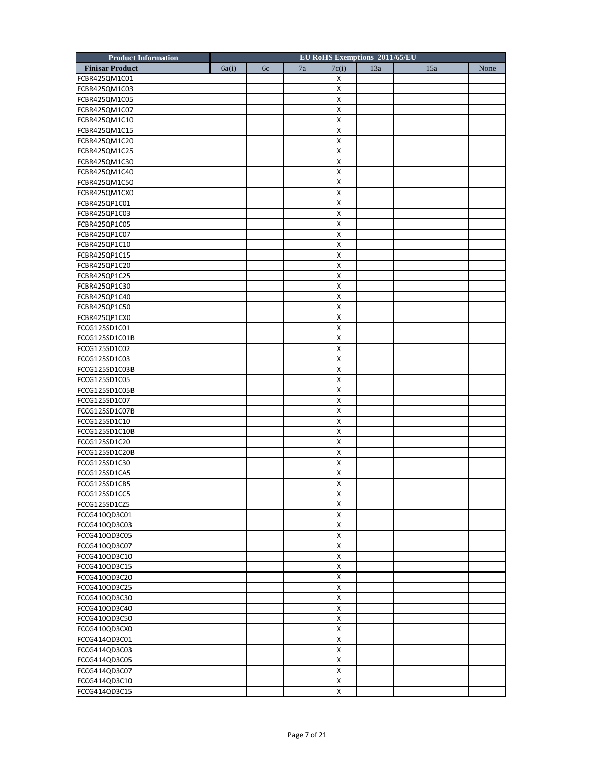| <b>Product Information</b> |       |    |    | <b>EU RoHS Exemptions 2011/65/EU</b> |     |     |      |
|----------------------------|-------|----|----|--------------------------------------|-----|-----|------|
| <b>Finisar Product</b>     | 6a(i) | 6c | 7a | 7c(i)                                | 13a | 15a | None |
| FCBR425QM1C01              |       |    |    | х                                    |     |     |      |
| FCBR425QM1C03              |       |    |    | х                                    |     |     |      |
| FCBR425QM1C05              |       |    |    | X                                    |     |     |      |
| FCBR425QM1C07              |       |    |    | X                                    |     |     |      |
| FCBR425QM1C10              |       |    |    | X                                    |     |     |      |
| FCBR425QM1C15              |       |    |    | X                                    |     |     |      |
| FCBR425QM1C20              |       |    |    | х                                    |     |     |      |
| FCBR425QM1C25              |       |    |    | X                                    |     |     |      |
| FCBR425QM1C30              |       |    |    | X                                    |     |     |      |
| FCBR425QM1C40              |       |    |    | X                                    |     |     |      |
| FCBR425QM1C50              |       |    |    | X                                    |     |     |      |
| FCBR425QM1CX0              |       |    |    | Χ                                    |     |     |      |
| FCBR425QP1C01              |       |    |    | X                                    |     |     |      |
| FCBR425QP1C03              |       |    |    | X                                    |     |     |      |
| FCBR425QP1C05              |       |    |    | X                                    |     |     |      |
| FCBR425QP1C07              |       |    |    | X                                    |     |     |      |
| FCBR425QP1C10              |       |    |    | х                                    |     |     |      |
| FCBR425QP1C15              |       |    |    | X                                    |     |     |      |
| FCBR425QP1C20              |       |    |    | X                                    |     |     |      |
| FCBR425QP1C25              |       |    |    | X                                    |     |     |      |
|                            |       |    |    |                                      |     |     |      |
| FCBR425QP1C30              |       |    |    | X                                    |     |     |      |
| FCBR425QP1C40              |       |    |    | Χ                                    |     |     |      |
| FCBR425QP1C50              |       |    |    | X                                    |     |     |      |
| FCBR425QP1CX0              |       |    |    | X                                    |     |     |      |
| FCCG125SD1C01              |       |    |    | X                                    |     |     |      |
| FCCG125SD1C01B             |       |    |    | X                                    |     |     |      |
| FCCG125SD1C02              |       |    |    | Χ                                    |     |     |      |
| FCCG125SD1C03              |       |    |    | X                                    |     |     |      |
| FCCG125SD1C03B             |       |    |    | X                                    |     |     |      |
| FCCG125SD1C05              |       |    |    | $\pmb{\times}$                       |     |     |      |
| FCCG125SD1C05B             |       |    |    | X                                    |     |     |      |
| FCCG125SD1C07              |       |    |    | Χ                                    |     |     |      |
| FCCG125SD1C07B             |       |    |    | X                                    |     |     |      |
| FCCG125SD1C10              |       |    |    | X                                    |     |     |      |
| FCCG125SD1C10B             |       |    |    | $\pmb{\times}$                       |     |     |      |
| FCCG125SD1C20              |       |    |    | X                                    |     |     |      |
| FCCG125SD1C20B             |       |    |    | х                                    |     |     |      |
| FCCG125SD1C30              |       |    |    | X                                    |     |     |      |
| FCCG125SD1CA5              |       |    |    | X                                    |     |     |      |
| FCCG125SD1CB5              |       |    |    | $\pmb{\chi}$                         |     |     |      |
| FCCG125SD1CC5              |       |    |    | Χ                                    |     |     |      |
| FCCG125SD1CZ5              |       |    |    | X                                    |     |     |      |
| FCCG410QD3C01              |       |    |    | X                                    |     |     |      |
| FCCG410QD3C03              |       |    |    | $\pmb{\mathsf{X}}$                   |     |     |      |
| FCCG410QD3C05              |       |    |    | $\pmb{\times}$                       |     |     |      |
| FCCG410QD3C07              |       |    |    | X                                    |     |     |      |
| FCCG410QD3C10              |       |    |    | X                                    |     |     |      |
| FCCG410QD3C15              |       |    |    | X                                    |     |     |      |
| FCCG410QD3C20              |       |    |    | X                                    |     |     |      |
| FCCG410QD3C25              |       |    |    | $\pmb{\times}$                       |     |     |      |
| FCCG410QD3C30              |       |    |    | X                                    |     |     |      |
| FCCG410QD3C40              |       |    |    | X                                    |     |     |      |
| FCCG410QD3C50              |       |    |    | X                                    |     |     |      |
| FCCG410QD3CX0              |       |    |    | X                                    |     |     |      |
| FCCG414QD3C01              |       |    |    | $\pmb{\times}$                       |     |     |      |
|                            |       |    |    | X                                    |     |     |      |
| FCCG414QD3C03              |       |    |    |                                      |     |     |      |
| FCCG414QD3C05              |       |    |    | X<br>X                               |     |     |      |
| FCCG414QD3C07              |       |    |    |                                      |     |     |      |
| FCCG414QD3C10              |       |    |    | X                                    |     |     |      |
| FCCG414QD3C15              |       |    |    | X                                    |     |     |      |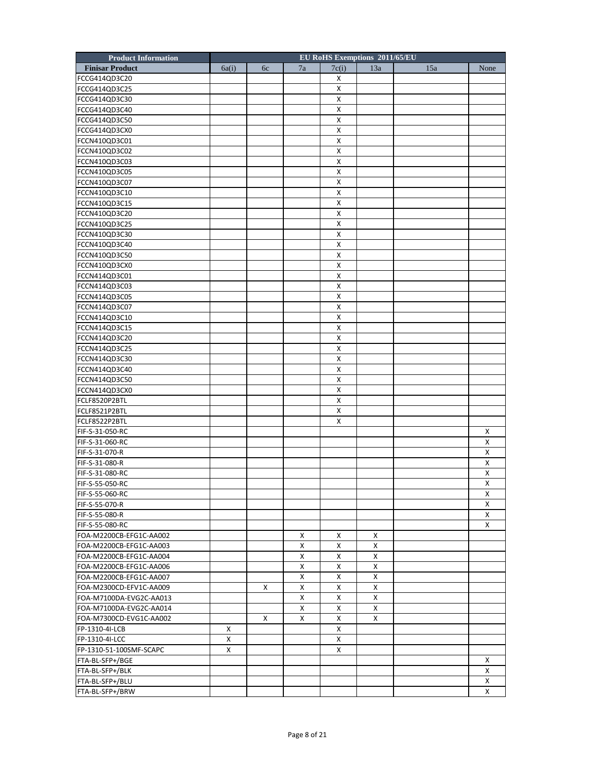| <b>Product Information</b> |       |    |        | EU RoHS Exemptions 2011/65/EU |        |     |      |
|----------------------------|-------|----|--------|-------------------------------|--------|-----|------|
| <b>Finisar Product</b>     | 6a(i) | 6c | 7a     | 7c(i)                         | 13a    | 15a | None |
| FCCG414QD3C20              |       |    |        | х                             |        |     |      |
| FCCG414QD3C25              |       |    |        | X                             |        |     |      |
| FCCG414QD3C30              |       |    |        | X                             |        |     |      |
| FCCG414QD3C40              |       |    |        | X                             |        |     |      |
| FCCG414QD3C50              |       |    |        | X                             |        |     |      |
| FCCG414QD3CX0              |       |    |        | х                             |        |     |      |
| FCCN410QD3C01              |       |    |        | X                             |        |     |      |
| FCCN410QD3C02              |       |    |        | X                             |        |     |      |
| FCCN410QD3C03              |       |    |        | X                             |        |     |      |
| FCCN410QD3C05              |       |    |        | X                             |        |     |      |
| FCCN410QD3C07              |       |    |        | X                             |        |     |      |
| FCCN410QD3C10              |       |    |        | X                             |        |     |      |
| FCCN410QD3C15              |       |    |        | X                             |        |     |      |
| FCCN410QD3C20              |       |    |        | $\pmb{\mathsf{X}}$            |        |     |      |
| FCCN410QD3C25              |       |    |        | X                             |        |     |      |
| FCCN410QD3C30              |       |    |        | х                             |        |     |      |
| FCCN410QD3C40              |       |    |        | X                             |        |     |      |
| FCCN410QD3C50              |       |    |        | X                             |        |     |      |
| FCCN410QD3CX0              |       |    |        | $\pmb{\mathsf{X}}$            |        |     |      |
| FCCN414QD3C01              |       |    |        | X                             |        |     |      |
|                            |       |    |        |                               |        |     |      |
| FCCN414QD3C03              |       |    |        | X                             |        |     |      |
| FCCN414QD3C05              |       |    |        | X                             |        |     |      |
| FCCN414QD3C07              |       |    |        | X                             |        |     |      |
| FCCN414QD3C10              |       |    |        | $\pmb{\mathsf{X}}$            |        |     |      |
| FCCN414QD3C15              |       |    |        | X                             |        |     |      |
| FCCN414QD3C20              |       |    |        | х                             |        |     |      |
| FCCN414QD3C25              |       |    |        | X                             |        |     |      |
| FCCN414QD3C30              |       |    |        | X                             |        |     |      |
| FCCN414QD3C40              |       |    |        | $\pmb{\mathsf{X}}$            |        |     |      |
| FCCN414QD3C50              |       |    |        | X                             |        |     |      |
| FCCN414QD3CX0              |       |    |        | X                             |        |     |      |
| FCLF8520P2BTL              |       |    |        | X                             |        |     |      |
| FCLF8521P2BTL              |       |    |        | х                             |        |     |      |
| FCLF8522P2BTL              |       |    |        | X                             |        |     |      |
| FIF-S-31-050-RC            |       |    |        |                               |        |     | X    |
| FIF-S-31-060-RC            |       |    |        |                               |        |     | X    |
| FIF-S-31-070-R             |       |    |        |                               |        |     | х    |
| FIF-S-31-080-R             |       |    |        |                               |        |     | X    |
| FIF-S-31-080-RC            |       |    |        |                               |        |     | x    |
| FIF-S-55-050-RC            |       |    |        |                               |        |     | Χ    |
| FIF-S-55-060-RC            |       |    |        |                               |        |     | X    |
| FIF-S-55-070-R             |       |    |        |                               |        |     | X    |
| FIF-S-55-080-R             |       |    |        |                               |        |     | X    |
| FIF-S-55-080-RC            |       |    |        |                               |        |     | X    |
| FOA-M2200CB-EFG1C-AA002    |       |    | Х      | x                             | x      |     |      |
| FOA-M2200CB-EFG1C-AA003    |       |    | X      | X                             | X      |     |      |
| FOA-M2200CB-EFG1C-AA004    |       |    | x      | X                             | X      |     |      |
| FOA-M2200CB-EFG1C-AA006    |       |    | X      | X                             | x      |     |      |
| FOA-M2200CB-EFG1C-AA007    |       |    | X      | X                             | X      |     |      |
| FOA-M2300CD-EFV1C-AA009    |       | X  | X      | X                             | X      |     |      |
| FOA-M7100DA-EVG2C-AA013    |       |    | X      | X                             | X      |     |      |
|                            |       |    |        |                               |        |     |      |
| FOA-M7100DA-EVG2C-AA014    |       | X  | Χ<br>х | X<br>X                        | X<br>X |     |      |
| FOA-M7300CD-EVG1C-AA002    |       |    |        |                               |        |     |      |
| FP-1310-4I-LCB             | X     |    |        | X                             |        |     |      |
| FP-1310-4I-LCC             | x     |    |        | X                             |        |     |      |
| FP-1310-51-100SMF-SCAPC    | X     |    |        | X                             |        |     |      |
| FTA-BL-SFP+/BGE            |       |    |        |                               |        |     | x    |
| FTA-BL-SFP+/BLK            |       |    |        |                               |        |     | X    |
| FTA-BL-SFP+/BLU            |       |    |        |                               |        |     | X    |
| FTA-BL-SFP+/BRW            |       |    |        |                               |        |     | X    |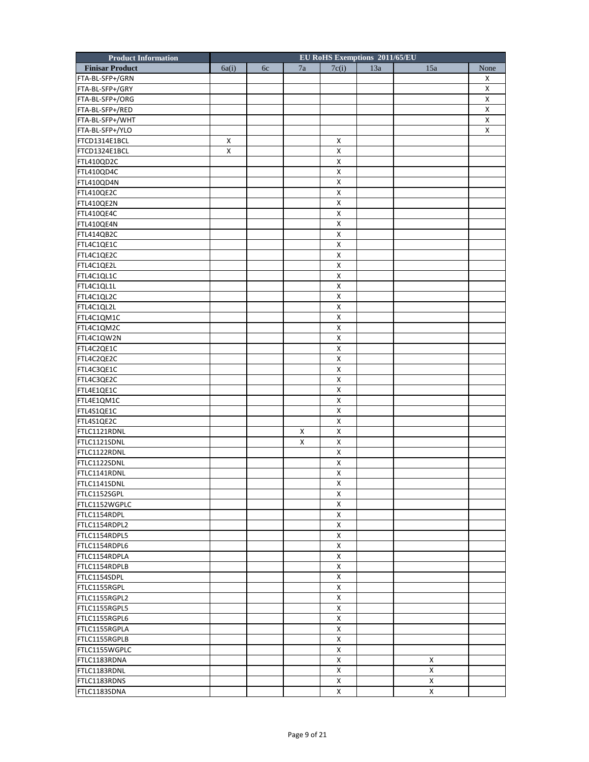| <b>EU RoHS Exemptions 2011/65/EU</b><br><b>Product Information</b> |      |
|--------------------------------------------------------------------|------|
| 7a<br>7c(i)<br>13a<br>15a<br><b>Finisar Product</b><br>6a(i)<br>6c | None |
| FTA-BL-SFP+/GRN                                                    | X    |
| FTA-BL-SFP+/GRY                                                    | X    |
| FTA-BL-SFP+/ORG                                                    | X    |
| FTA-BL-SFP+/RED                                                    | X    |
| FTA-BL-SFP+/WHT                                                    | X    |
| FTA-BL-SFP+/YLO                                                    | X    |
| X<br>FTCD1314E1BCL<br>X                                            |      |
| x<br>X<br>FTCD1324E1BCL                                            |      |
| FTL410QD2C<br>X                                                    |      |
| $\pmb{\mathsf{X}}$<br>FTL410QD4C                                   |      |
| FTL410QD4N<br>X                                                    |      |
| FTL410QE2C<br>X                                                    |      |
| X<br>FTL410QE2N                                                    |      |
| $\pmb{\mathsf{X}}$<br>FTL410QE4C                                   |      |
| $\pmb{\mathsf{X}}$<br>FTL410QE4N                                   |      |
| FTL414QB2C<br>х                                                    |      |
| X<br>FTL4C1QE1C                                                    |      |
| X<br>FTL4C1QE2C                                                    |      |
| $\pmb{\mathsf{X}}$<br>FTL4C1QE2L                                   |      |
| $\pmb{\mathsf{X}}$<br>FTL4C1QL1C                                   |      |
| FTL4C1QL1L<br>X                                                    |      |
|                                                                    |      |
| X<br>FTL4C1QL2C                                                    |      |
| X<br>FTL4C1QL2L<br>$\pmb{\mathsf{X}}$                              |      |
| FTL4C1QM1C                                                         |      |
| $\pmb{\mathsf{X}}$<br>FTL4C1QM2C                                   |      |
| FTL4C1QW2N<br>х                                                    |      |
| X<br>FTL4C2QE1C                                                    |      |
| X<br>FTL4C2QE2C                                                    |      |
| $\pmb{\mathsf{X}}$<br>FTL4C3QE1C                                   |      |
| $\pmb{\mathsf{X}}$<br>FTL4C3QE2C                                   |      |
| X<br>FTL4E1QE1C                                                    |      |
| X<br>FTL4E1QM1C                                                    |      |
| X<br>FTL4S1QE1C                                                    |      |
| $\pmb{\mathsf{X}}$<br>FTL4S1QE2C                                   |      |
| FTLC1121RDNL<br>X<br>X                                             |      |
| FTLC1121SDNL<br>X<br>Х                                             |      |
| X<br>FTLC1122RDNL                                                  |      |
| FTLC1122SDNL<br>х                                                  |      |
| X<br>FTLC1141RDNL                                                  |      |
| FTLC1141SDNL<br>$\pmb{\mathsf{X}}$                                 |      |
| FTLC1152SGPL<br>Χ                                                  |      |
| FTLC1152WGPLC<br>X                                                 |      |
| X<br>FTLC1154RDPL                                                  |      |
| X<br>FTLC1154RDPL2                                                 |      |
| FTLC1154RDPL5<br>X                                                 |      |
| $\pmb{\mathsf{X}}$<br>FTLC1154RDPL6                                |      |
| FTLC1154RDPLA<br>X                                                 |      |
| X<br>FTLC1154RDPLB                                                 |      |
| X<br>FTLC1154SDPL                                                  |      |
| FTLC1155RGPL<br>X                                                  |      |
| FTLC1155RGPL2<br>X                                                 |      |
| FTLC1155RGPL5<br>X                                                 |      |
| X<br>FTLC1155RGPL6                                                 |      |
| X<br>FTLC1155RGPLA                                                 |      |
| X<br>FTLC1155RGPLB                                                 |      |
| X<br>FTLC1155WGPLC                                                 |      |
| FTLC1183RDNA<br>X<br>X                                             |      |
| X<br>X<br>FTLC1183RDNL                                             |      |
| X<br>X<br>FTLC1183RDNS                                             |      |
| X<br>FTLC1183SDNA<br>X                                             |      |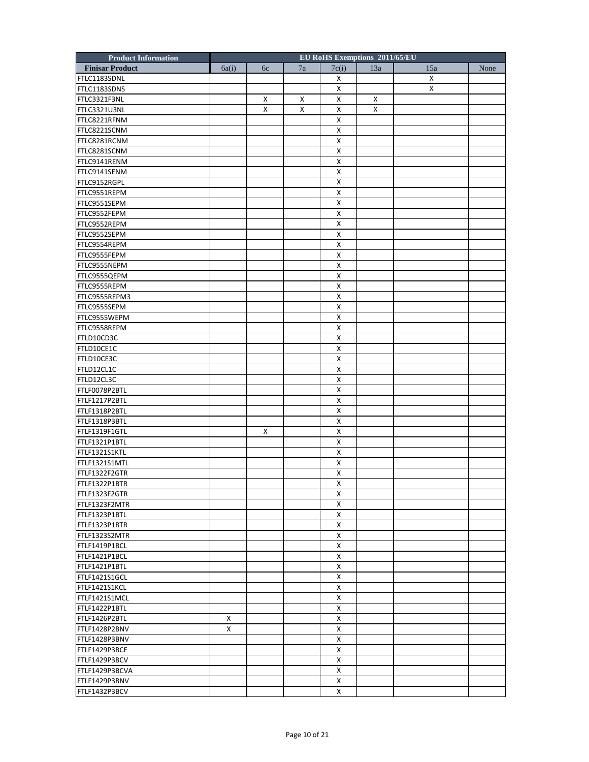| <b>Product Information</b>   |       |    |    | EU RoHS Exemptions 2011/65/EU |     |     |      |
|------------------------------|-------|----|----|-------------------------------|-----|-----|------|
| <b>Finisar Product</b>       | 6a(i) | 6c | 7a | 7c(i)                         | 13a | 15a | None |
| FTLC1183SDNL                 |       |    |    | х                             |     | X   |      |
| FTLC1183SDNS                 |       |    |    | X                             |     | X   |      |
| FTLC3321F3NL                 |       | X  | x  | X                             | X   |     |      |
| FTLC3321U3NL                 |       | X  | X  | X                             | x   |     |      |
| FTLC8221RFNM                 |       |    |    | X                             |     |     |      |
| FTLC8221SCNM                 |       |    |    | X                             |     |     |      |
| FTLC8281RCNM                 |       |    |    | X                             |     |     |      |
| FTLC8281SCNM                 |       |    |    | X                             |     |     |      |
| FTLC9141RENM                 |       |    |    | X                             |     |     |      |
| FTLC9141SENM                 |       |    |    | X                             |     |     |      |
| FTLC9152RGPL                 |       |    |    | X                             |     |     |      |
| FTLC9551REPM                 |       |    |    | X                             |     |     |      |
| FTLC9551SEPM                 |       |    |    | $\mathsf{x}$                  |     |     |      |
| FTLC9552FEPM                 |       |    |    | X                             |     |     |      |
| FTLC9552REPM                 |       |    |    | X                             |     |     |      |
| FTLC9552SEPM                 |       |    |    | X                             |     |     |      |
| FTLC9554REPM                 |       |    |    | X                             |     |     |      |
|                              |       |    |    | X                             |     |     |      |
| FTLC9555FEPM<br>FTLC9555NEPM |       |    |    | X                             |     |     |      |
|                              |       |    |    |                               |     |     |      |
| FTLC9555QEPM                 |       |    |    | X                             |     |     |      |
| FTLC9555REPM                 |       |    |    | X                             |     |     |      |
| FTLC9555REPM3                |       |    |    | X                             |     |     |      |
| FTLC9555SEPM                 |       |    |    | $\mathsf{x}$                  |     |     |      |
| FTLC9555WEPM                 |       |    |    | X                             |     |     |      |
| FTLC9558REPM                 |       |    |    | X                             |     |     |      |
| FTLD10CD3C                   |       |    |    | X                             |     |     |      |
| FTLD10CE1C                   |       |    |    | X                             |     |     |      |
| FTLD10CE3C                   |       |    |    | X                             |     |     |      |
| FTLD12CL1C                   |       |    |    | X                             |     |     |      |
| FTLD12CL3C                   |       |    |    | X                             |     |     |      |
| FTLF0078P2BTL                |       |    |    | X                             |     |     |      |
| FTLF1217P2BTL                |       |    |    | X                             |     |     |      |
| FTLF1318P2BTL                |       |    |    | $\mathsf{x}$                  |     |     |      |
| FTLF1318P3BTL                |       |    |    | X                             |     |     |      |
| FTLF1319F1GTL                |       | X  |    | X                             |     |     |      |
| FTLF1321P1BTL                |       |    |    | X                             |     |     |      |
| FTLF1321S1KTL                |       |    |    | X                             |     |     |      |
| FTLF1321S1MTL                |       |    |    | X                             |     |     |      |
| FTLF1322F2GTR                |       |    |    | X                             |     |     |      |
| FTLF1322P1BTR                |       |    |    | $\overline{\mathsf{X}}$       |     |     |      |
| FTLF1323F2GTR                |       |    |    | X                             |     |     |      |
| FTLF1323F2MTR                |       |    |    | X                             |     |     |      |
| FTLF1323P1BTL                |       |    |    | X                             |     |     |      |
| FTLF1323P1BTR                |       |    |    | X                             |     |     |      |
| FTLF1323S2MTR                |       |    |    | X                             |     |     |      |
| FTLF1419P1BCL                |       |    |    | X                             |     |     |      |
| FTLF1421P1BCL                |       |    |    | X                             |     |     |      |
| FTLF1421P1BTL                |       |    |    | X                             |     |     |      |
| FTLF1421S1GCL                |       |    |    | X                             |     |     |      |
| FTLF1421S1KCL                |       |    |    | X                             |     |     |      |
| FTLF1421S1MCL                |       |    |    | X                             |     |     |      |
| FTLF1422P1BTL                |       |    |    | X                             |     |     |      |
| FTLF1426P2BTL                | Χ     |    |    | X                             |     |     |      |
| FTLF1428P2BNV                | X     |    |    | X                             |     |     |      |
| FTLF1428P3BNV                |       |    |    | X                             |     |     |      |
| FTLF1429P3BCE                |       |    |    | X                             |     |     |      |
| FTLF1429P3BCV                |       |    |    | X                             |     |     |      |
| FTLF1429P3BCVA               |       |    |    | X                             |     |     |      |
| FTLF1429P3BNV                |       |    |    | X                             |     |     |      |
| FTLF1432P3BCV                |       |    |    | X                             |     |     |      |
|                              |       |    |    |                               |     |     |      |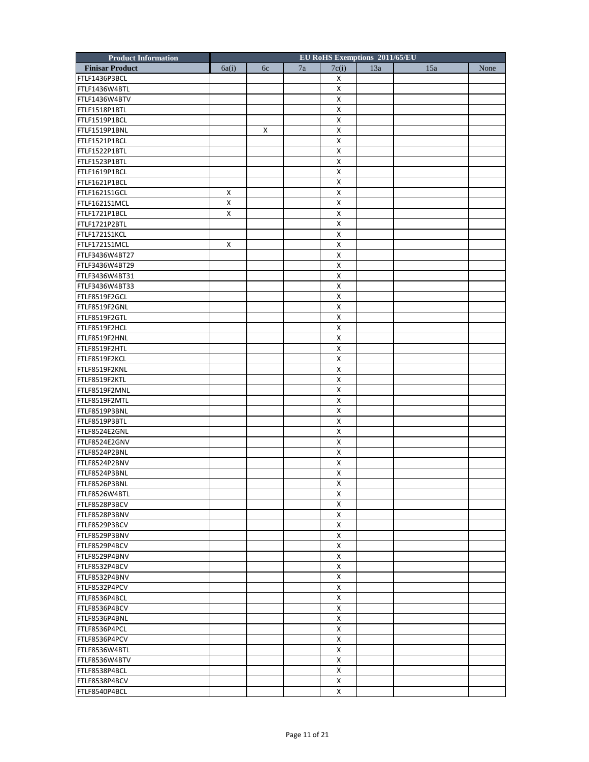| <b>Product Information</b>     |       |    |    | EU RoHS Exemptions 2011/65/EU |     |     |      |
|--------------------------------|-------|----|----|-------------------------------|-----|-----|------|
| <b>Finisar Product</b>         | 6a(i) | 6c | 7a | 7c(i)                         | 13a | 15a | None |
| FTLF1436P3BCL                  |       |    |    | Х                             |     |     |      |
| FTLF1436W4BTL                  |       |    |    | Χ                             |     |     |      |
| FTLF1436W4BTV                  |       |    |    | X                             |     |     |      |
| FTLF1518P1BTL                  |       |    |    | Χ                             |     |     |      |
| FTLF1519P1BCL                  |       |    |    | X                             |     |     |      |
| FTLF1519P1BNL                  |       | X  |    | Х                             |     |     |      |
| FTLF1521P1BCL                  |       |    |    | Χ                             |     |     |      |
| FTLF1522P1BTL                  |       |    |    | X                             |     |     |      |
| FTLF1523P1BTL                  |       |    |    | X                             |     |     |      |
| FTLF1619P1BCL                  |       |    |    | X                             |     |     |      |
| FTLF1621P1BCL                  |       |    |    | Х                             |     |     |      |
| FTLF1621S1GCL                  | X     |    |    | Χ                             |     |     |      |
| FTLF1621S1MCL                  | X     |    |    | Χ                             |     |     |      |
| FTLF1721P1BCL                  | X     |    |    | X                             |     |     |      |
| FTLF1721P2BTL                  |       |    |    | X                             |     |     |      |
| FTLF1721S1KCL                  |       |    |    | Х                             |     |     |      |
| FTLF1721S1MCL                  | X     |    |    | Χ                             |     |     |      |
| FTLF3436W4BT27                 |       |    |    | Χ                             |     |     |      |
| FTLF3436W4BT29                 |       |    |    | X                             |     |     |      |
| FTLF3436W4BT31                 |       |    |    | X                             |     |     |      |
| FTLF3436W4BT33                 |       |    |    | Х                             |     |     |      |
| FTLF8519F2GCL                  |       |    |    | Χ                             |     |     |      |
|                                |       |    |    | Χ                             |     |     |      |
| FTLF8519F2GNL<br>FTLF8519F2GTL |       |    |    | X                             |     |     |      |
|                                |       |    |    | X                             |     |     |      |
| FTLF8519F2HCL                  |       |    |    |                               |     |     |      |
| FTLF8519F2HNL                  |       |    |    | Х                             |     |     |      |
| FTLF8519F2HTL                  |       |    |    | Χ                             |     |     |      |
| FTLF8519F2KCL                  |       |    |    | Χ                             |     |     |      |
| FTLF8519F2KNL                  |       |    |    | X                             |     |     |      |
| FTLF8519F2KTL                  |       |    |    | X                             |     |     |      |
| FTLF8519F2MNL                  |       |    |    | х                             |     |     |      |
| FTLF8519F2MTL                  |       |    |    | Χ                             |     |     |      |
| FTLF8519P3BNL                  |       |    |    | Χ                             |     |     |      |
| FTLF8519P3BTL                  |       |    |    | X                             |     |     |      |
| FTLF8524E2GNL                  |       |    |    | X                             |     |     |      |
| FTLF8524E2GNV                  |       |    |    | Х                             |     |     |      |
| FTLF8524P2BNL                  |       |    |    | Χ                             |     |     |      |
| FTLF8524P2BNV                  |       |    |    | X                             |     |     |      |
| FTLF8524P3BNL                  |       |    |    | X                             |     |     |      |
| FTLF8526P3BNL                  |       |    |    | $\pmb{\mathsf{X}}$            |     |     |      |
| FTLF8526W4BTL                  |       |    |    | X                             |     |     |      |
| FTLF8528P3BCV                  |       |    |    | X                             |     |     |      |
| FTLF8528P3BNV                  |       |    |    | Χ                             |     |     |      |
| FTLF8529P3BCV                  |       |    |    | X                             |     |     |      |
| FTLF8529P3BNV                  |       |    |    | X                             |     |     |      |
| FTLF8529P4BCV                  |       |    |    | X                             |     |     |      |
| FTLF8529P4BNV                  |       |    |    | Χ                             |     |     |      |
| FTLF8532P4BCV                  |       |    |    | Χ                             |     |     |      |
| FTLF8532P4BNV                  |       |    |    | X                             |     |     |      |
| FTLF8532P4PCV                  |       |    |    | Х                             |     |     |      |
| FTLF8536P4BCL                  |       |    |    | X                             |     |     |      |
| FTLF8536P4BCV                  |       |    |    | X                             |     |     |      |
| FTLF8536P4BNL                  |       |    |    | X                             |     |     |      |
| FTLF8536P4PCL                  |       |    |    | X                             |     |     |      |
| FTLF8536P4PCV                  |       |    |    | X                             |     |     |      |
| FTLF8536W4BTL                  |       |    |    | X                             |     |     |      |
|                                |       |    |    |                               |     |     |      |
| FTLF8536W4BTV                  |       |    |    | X<br>Χ                        |     |     |      |
| FTLF8538P4BCL                  |       |    |    |                               |     |     |      |
| FTLF8538P4BCV                  |       |    |    | X                             |     |     |      |
| FTLF8540P4BCL                  |       |    |    | X                             |     |     |      |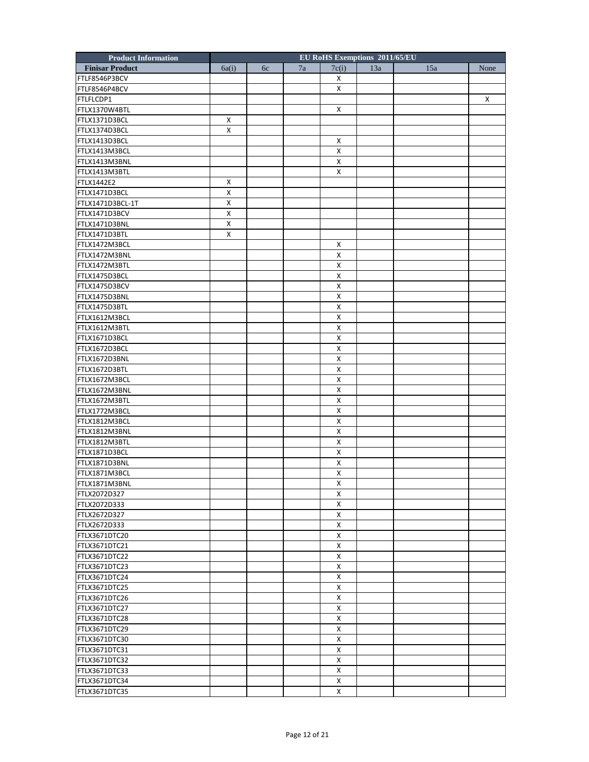| <b>Product Information</b> |                    |    |    | EU RoHS Exemptions 2011/65/EU |     |     |      |
|----------------------------|--------------------|----|----|-------------------------------|-----|-----|------|
| <b>Finisar Product</b>     | 6a(i)              | 6c | 7a | 7c(i)                         | 13a | 15a | None |
| FTLF8546P3BCV              |                    |    |    | X                             |     |     |      |
| FTLF8546P4BCV              |                    |    |    | X                             |     |     |      |
| FTLFLCDP1                  |                    |    |    |                               |     |     | X    |
| FTLX1370W4BTL              |                    |    |    | X                             |     |     |      |
| FTLX1371D3BCL              | X                  |    |    |                               |     |     |      |
| FTLX1374D3BCL              | Х                  |    |    |                               |     |     |      |
| FTLX1413D3BCL              |                    |    |    | X                             |     |     |      |
| FTLX1413M3BCL              |                    |    |    | X                             |     |     |      |
| FTLX1413M3BNL              |                    |    |    | X                             |     |     |      |
| FTLX1413M3BTL              |                    |    |    | X                             |     |     |      |
| FTLX1442E2                 | X                  |    |    |                               |     |     |      |
| FTLX1471D3BCL              | х                  |    |    |                               |     |     |      |
| FTLX1471D3BCL-1T           | X                  |    |    |                               |     |     |      |
| FTLX1471D3BCV              | X                  |    |    |                               |     |     |      |
| FTLX1471D3BNL              | $\pmb{\mathsf{X}}$ |    |    |                               |     |     |      |
| FTLX1471D3BTL              | Х                  |    |    |                               |     |     |      |
| FTLX1472M3BCL              |                    |    |    | X                             |     |     |      |
| FTLX1472M3BNL              |                    |    |    | X                             |     |     |      |
| FTLX1472M3BTL              |                    |    |    | $\pmb{\mathsf{X}}$            |     |     |      |
| FTLX1475D3BCL              |                    |    |    | $\pmb{\mathsf{X}}$            |     |     |      |
| FTLX1475D3BCV              |                    |    |    | X                             |     |     |      |
| FTLX1475D3BNL              |                    |    |    | X                             |     |     |      |
| FTLX1475D3BTL              |                    |    |    | X                             |     |     |      |
| FTLX1612M3BCL              |                    |    |    | X                             |     |     |      |
| FTLX1612M3BTL              |                    |    |    | X                             |     |     |      |
| FTLX1671D3BCL              |                    |    |    | X                             |     |     |      |
| FTLX1672D3BCL              |                    |    |    | X                             |     |     |      |
| FTLX1672D3BNL              |                    |    |    | X                             |     |     |      |
| FTLX1672D3BTL              |                    |    |    | $\pmb{\mathsf{X}}$            |     |     |      |
| FTLX1672M3BCL              |                    |    |    | X                             |     |     |      |
| FTLX1672M3BNL              |                    |    |    | X                             |     |     |      |
| FTLX1672M3BTL              |                    |    |    | X                             |     |     |      |
| FTLX1772M3BCL              |                    |    |    | X                             |     |     |      |
| FTLX1812M3BCL              |                    |    |    | X                             |     |     |      |
| FTLX1812M3BNL              |                    |    |    | X                             |     |     |      |
| FTLX1812M3BTL              |                    |    |    | X                             |     |     |      |
| FTLX1871D3BCL              |                    |    |    | X                             |     |     |      |
| FTLX1871D3BNL              |                    |    |    | X                             |     |     |      |
| FTLX1871M3BCL              |                    |    |    | X                             |     |     |      |
| FTLX1871M3BNL              |                    |    |    | $\pmb{\mathsf{X}}$            |     |     |      |
| FTLX2072D327               |                    |    |    | X                             |     |     |      |
| FTLX2072D333               |                    |    |    | X                             |     |     |      |
| FTLX2672D327               |                    |    |    | X                             |     |     |      |
| FTLX2672D333               |                    |    |    | X                             |     |     |      |
| FTLX3671DTC20              |                    |    |    | X                             |     |     |      |
| FTLX3671DTC21              |                    |    |    | X                             |     |     |      |
| FTLX3671DTC22              |                    |    |    | X                             |     |     |      |
| FTLX3671DTC23              |                    |    |    | X                             |     |     |      |
| FTLX3671DTC24              |                    |    |    | X                             |     |     |      |
| FTLX3671DTC25              |                    |    |    | X                             |     |     |      |
| FTLX3671DTC26              |                    |    |    | X                             |     |     |      |
| FTLX3671DTC27              |                    |    |    | X                             |     |     |      |
| FTLX3671DTC28              |                    |    |    | X                             |     |     |      |
| FTLX3671DTC29              |                    |    |    | X                             |     |     |      |
| FTLX3671DTC30              |                    |    |    | X                             |     |     |      |
| FTLX3671DTC31              |                    |    |    | X                             |     |     |      |
| FTLX3671DTC32              |                    |    |    | X                             |     |     |      |
| FTLX3671DTC33              |                    |    |    | X                             |     |     |      |
| FTLX3671DTC34              |                    |    |    | X                             |     |     |      |
| FTLX3671DTC35              |                    |    |    | X                             |     |     |      |
|                            |                    |    |    |                               |     |     |      |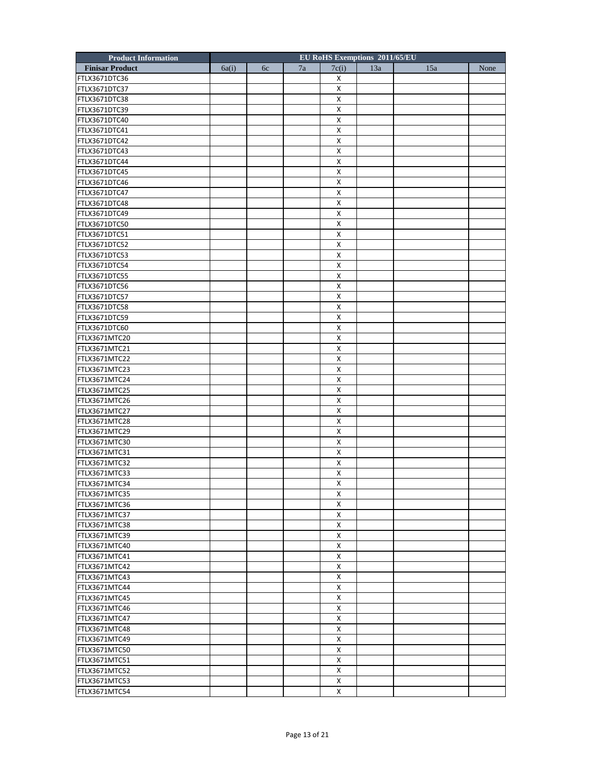| <b>Product Information</b> |       |    |    |                    | EU RoHS Exemptions 2011/65/EU |     |      |
|----------------------------|-------|----|----|--------------------|-------------------------------|-----|------|
| <b>Finisar Product</b>     | 6a(i) | 6c | 7a | 7c(i)              | 13a                           | 15a | None |
| FTLX3671DTC36              |       |    |    | х                  |                               |     |      |
| FTLX3671DTC37              |       |    |    | Χ                  |                               |     |      |
| FTLX3671DTC38              |       |    |    | Χ                  |                               |     |      |
| FTLX3671DTC39              |       |    |    | Χ                  |                               |     |      |
| FTLX3671DTC40              |       |    |    | X                  |                               |     |      |
| FTLX3671DTC41              |       |    |    | х                  |                               |     |      |
| FTLX3671DTC42              |       |    |    | Χ                  |                               |     |      |
| FTLX3671DTC43              |       |    |    | X                  |                               |     |      |
| FTLX3671DTC44              |       |    |    | X                  |                               |     |      |
| FTLX3671DTC45              |       |    |    | X                  |                               |     |      |
| FTLX3671DTC46              |       |    |    | х                  |                               |     |      |
| FTLX3671DTC47              |       |    |    | Χ                  |                               |     |      |
| FTLX3671DTC48              |       |    |    | Х                  |                               |     |      |
| FTLX3671DTC49              |       |    |    | X                  |                               |     |      |
| FTLX3671DTC50              |       |    |    | X                  |                               |     |      |
| FTLX3671DTC51              |       |    |    | х                  |                               |     |      |
| FTLX3671DTC52              |       |    |    | Χ                  |                               |     |      |
| FTLX3671DTC53              |       |    |    | Х                  |                               |     |      |
| FTLX3671DTC54              |       |    |    | $\pmb{\mathsf{X}}$ |                               |     |      |
| FTLX3671DTC55              |       |    |    | X                  |                               |     |      |
| FTLX3671DTC56              |       |    |    | х                  |                               |     |      |
| FTLX3671DTC57              |       |    |    | Χ                  |                               |     |      |
| FTLX3671DTC58              |       |    |    | Х                  |                               |     |      |
| FTLX3671DTC59              |       |    |    | X                  |                               |     |      |
| FTLX3671DTC60              |       |    |    | X                  |                               |     |      |
| FTLX3671MTC20              |       |    |    | х                  |                               |     |      |
| FTLX3671MTC21              |       |    |    | Χ                  |                               |     |      |
| FTLX3671MTC22              |       |    |    | Х                  |                               |     |      |
| FTLX3671MTC23              |       |    |    | X                  |                               |     |      |
| FTLX3671MTC24              |       |    |    | X                  |                               |     |      |
| FTLX3671MTC25              |       |    |    | х                  |                               |     |      |
| FTLX3671MTC26              |       |    |    | Χ                  |                               |     |      |
| FTLX3671MTC27              |       |    |    | Х                  |                               |     |      |
| FTLX3671MTC28              |       |    |    | X                  |                               |     |      |
| FTLX3671MTC29              |       |    |    | X                  |                               |     |      |
| FTLX3671MTC30              |       |    |    | х                  |                               |     |      |
| FTLX3671MTC31              |       |    |    | Χ                  |                               |     |      |
| FTLX3671MTC32              |       |    |    | Х                  |                               |     |      |
| FTLX3671MTC33              |       |    |    | X                  |                               |     |      |
| FTLX3671MTC34              |       |    |    | $\pmb{\mathsf{X}}$ |                               |     |      |
| FTLX3671MTC35              |       |    |    | Х                  |                               |     |      |
| FTLX3671MTC36              |       |    |    | X                  |                               |     |      |
| FTLX3671MTC37              |       |    |    | Χ                  |                               |     |      |
| FTLX3671MTC38              |       |    |    | X                  |                               |     |      |
| FTLX3671MTC39              |       |    |    | X                  |                               |     |      |
| FTLX3671MTC40              |       |    |    | $\pmb{\times}$     |                               |     |      |
| FTLX3671MTC41              |       |    |    | Χ                  |                               |     |      |
|                            |       |    |    | Χ                  |                               |     |      |
| FTLX3671MTC42              |       |    |    | X                  |                               |     |      |
| FTLX3671MTC43              |       |    |    |                    |                               |     |      |
| FTLX3671MTC44              |       |    |    | Χ                  |                               |     |      |
| FTLX3671MTC45              |       |    |    | X                  |                               |     |      |
| FTLX3671MTC46              |       |    |    | X                  |                               |     |      |
| FTLX3671MTC47              |       |    |    | Χ                  |                               |     |      |
| FTLX3671MTC48              |       |    |    | X                  |                               |     |      |
| FTLX3671MTC49              |       |    |    | X                  |                               |     |      |
| FTLX3671MTC50              |       |    |    | $\pmb{\times}$     |                               |     |      |
| FTLX3671MTC51              |       |    |    | х                  |                               |     |      |
| FTLX3671MTC52              |       |    |    | Χ                  |                               |     |      |
| FTLX3671MTC53              |       |    |    | X                  |                               |     |      |
| FTLX3671MTC54              |       |    |    | X                  |                               |     |      |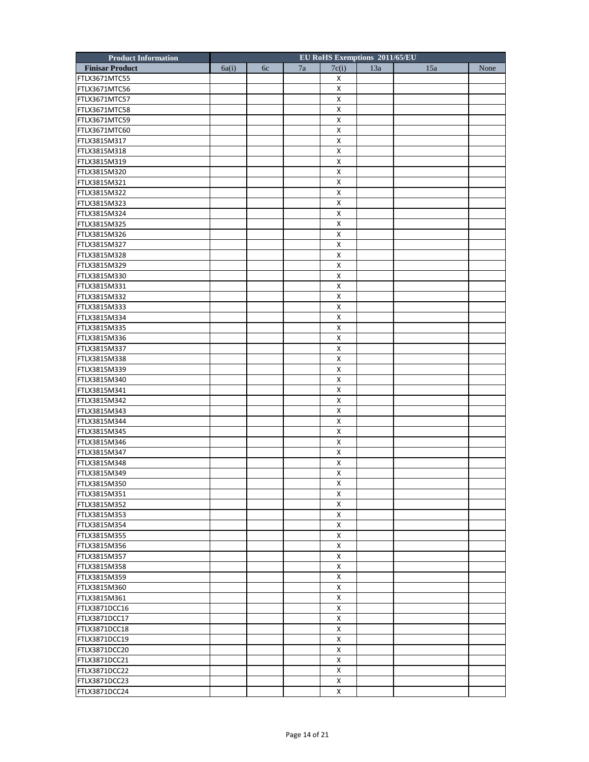| <b>Product Information</b> |       |    |    | EU RoHS Exemptions 2011/65/EU |     |     |      |
|----------------------------|-------|----|----|-------------------------------|-----|-----|------|
| <b>Finisar Product</b>     | 6a(i) | 6c | 7a | 7c(i)                         | 13a | 15a | None |
| FTLX3671MTC55              |       |    |    | Х                             |     |     |      |
| FTLX3671MTC56              |       |    |    | X                             |     |     |      |
| FTLX3671MTC57              |       |    |    | X                             |     |     |      |
| FTLX3671MTC58              |       |    |    | X                             |     |     |      |
| FTLX3671MTC59              |       |    |    | X                             |     |     |      |
| FTLX3671MTC60              |       |    |    | X                             |     |     |      |
| FTLX3815M317               |       |    |    | X                             |     |     |      |
| FTLX3815M318               |       |    |    | X                             |     |     |      |
| FTLX3815M319               |       |    |    | X                             |     |     |      |
| FTLX3815M320               |       |    |    | $\pmb{\mathsf{X}}$            |     |     |      |
| FTLX3815M321               |       |    |    | X                             |     |     |      |
| FTLX3815M322               |       |    |    | X                             |     |     |      |
| FTLX3815M323               |       |    |    | X                             |     |     |      |
| FTLX3815M324               |       |    |    | X                             |     |     |      |
|                            |       |    |    |                               |     |     |      |
| FTLX3815M325               |       |    |    | $\pmb{\mathsf{X}}$            |     |     |      |
| FTLX3815M326               |       |    |    | X                             |     |     |      |
| FTLX3815M327               |       |    |    | X                             |     |     |      |
| FTLX3815M328               |       |    |    | X                             |     |     |      |
| FTLX3815M329               |       |    |    | X                             |     |     |      |
| FTLX3815M330               |       |    |    | $\pmb{\mathsf{X}}$            |     |     |      |
| FTLX3815M331               |       |    |    | X                             |     |     |      |
| FTLX3815M332               |       |    |    | X                             |     |     |      |
| FTLX3815M333               |       |    |    | X                             |     |     |      |
| FTLX3815M334               |       |    |    | X                             |     |     |      |
| FTLX3815M335               |       |    |    | $\pmb{\mathsf{X}}$            |     |     |      |
| FTLX3815M336               |       |    |    | X                             |     |     |      |
| FTLX3815M337               |       |    |    | X                             |     |     |      |
| FTLX3815M338               |       |    |    | X                             |     |     |      |
| FTLX3815M339               |       |    |    | X                             |     |     |      |
| FTLX3815M340               |       |    |    | X                             |     |     |      |
| FTLX3815M341               |       |    |    | х                             |     |     |      |
| FTLX3815M342               |       |    |    | X                             |     |     |      |
| FTLX3815M343               |       |    |    | X                             |     |     |      |
| FTLX3815M344               |       |    |    | X                             |     |     |      |
| FTLX3815M345               |       |    |    | X                             |     |     |      |
| FTLX3815M346               |       |    |    | X                             |     |     |      |
| FTLX3815M347               |       |    |    | X                             |     |     |      |
| FTLX3815M348               |       |    |    | X                             |     |     |      |
| FTLX3815M349               |       |    |    | X                             |     |     |      |
| FTLX3815M350               |       |    |    | $\pmb{\mathsf{X}}$            |     |     |      |
| FTLX3815M351               |       |    |    | X                             |     |     |      |
| FTLX3815M352               |       |    |    | X                             |     |     |      |
| FTLX3815M353               |       |    |    | X                             |     |     |      |
| FTLX3815M354               |       |    |    | X                             |     |     |      |
| FTLX3815M355               |       |    |    | X                             |     |     |      |
| FTLX3815M356               |       |    |    | X                             |     |     |      |
|                            |       |    |    |                               |     |     |      |
| FTLX3815M357               |       |    |    | X                             |     |     |      |
| FTLX3815M358               |       |    |    | X                             |     |     |      |
| FTLX3815M359               |       |    |    | X                             |     |     |      |
| FTLX3815M360               |       |    |    | X                             |     |     |      |
| FTLX3815M361               |       |    |    | X                             |     |     |      |
| FTLX3871DCC16              |       |    |    | X                             |     |     |      |
| FTLX3871DCC17              |       |    |    | X                             |     |     |      |
| FTLX3871DCC18              |       |    |    | X                             |     |     |      |
| FTLX3871DCC19              |       |    |    | X                             |     |     |      |
| FTLX3871DCC20              |       |    |    | X                             |     |     |      |
| FTLX3871DCC21              |       |    |    | X                             |     |     |      |
| FTLX3871DCC22              |       |    |    | X                             |     |     |      |
| FTLX3871DCC23              |       |    |    | X                             |     |     |      |
| FTLX3871DCC24              |       |    |    | X                             |     |     |      |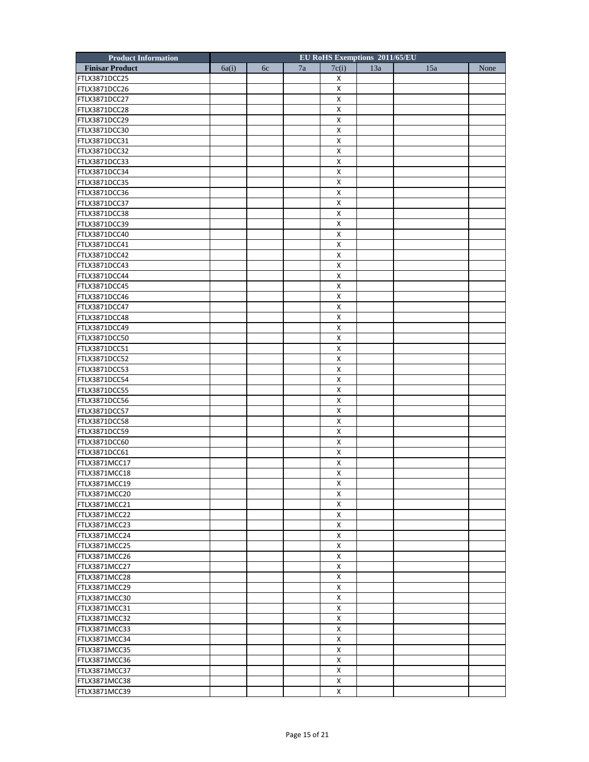| <b>Product Information</b> |       |    |    |                    | EU RoHS Exemptions 2011/65/EU |     |      |
|----------------------------|-------|----|----|--------------------|-------------------------------|-----|------|
| <b>Finisar Product</b>     | 6a(i) | 6c | 7a | 7c(i)              | 13a                           | 15a | None |
| FTLX3871DCC25              |       |    |    | х                  |                               |     |      |
| FTLX3871DCC26              |       |    |    | Χ                  |                               |     |      |
| FTLX3871DCC27              |       |    |    | Χ                  |                               |     |      |
| FTLX3871DCC28              |       |    |    | Χ                  |                               |     |      |
| FTLX3871DCC29              |       |    |    | X                  |                               |     |      |
| FTLX3871DCC30              |       |    |    | х                  |                               |     |      |
| FTLX3871DCC31              |       |    |    | Χ                  |                               |     |      |
| FTLX3871DCC32              |       |    |    | X                  |                               |     |      |
| FTLX3871DCC33              |       |    |    | X                  |                               |     |      |
| FTLX3871DCC34              |       |    |    | X                  |                               |     |      |
| FTLX3871DCC35              |       |    |    | х                  |                               |     |      |
| FTLX3871DCC36              |       |    |    | Χ                  |                               |     |      |
| FTLX3871DCC37              |       |    |    | Х                  |                               |     |      |
| FTLX3871DCC38              |       |    |    | X                  |                               |     |      |
| FTLX3871DCC39              |       |    |    | X                  |                               |     |      |
| FTLX3871DCC40              |       |    |    | х                  |                               |     |      |
| FTLX3871DCC41              |       |    |    | Χ                  |                               |     |      |
| FTLX3871DCC42              |       |    |    | Х                  |                               |     |      |
| FTLX3871DCC43              |       |    |    | X                  |                               |     |      |
| FTLX3871DCC44              |       |    |    | X                  |                               |     |      |
| FTLX3871DCC45              |       |    |    | х                  |                               |     |      |
| FTLX3871DCC46              |       |    |    | Χ                  |                               |     |      |
| FTLX3871DCC47              |       |    |    | Х                  |                               |     |      |
| FTLX3871DCC48              |       |    |    | X                  |                               |     |      |
| FTLX3871DCC49              |       |    |    | X                  |                               |     |      |
| FTLX3871DCC50              |       |    |    | х                  |                               |     |      |
| FTLX3871DCC51              |       |    |    | Χ                  |                               |     |      |
| FTLX3871DCC52              |       |    |    | Х                  |                               |     |      |
| FTLX3871DCC53              |       |    |    | X                  |                               |     |      |
| FTLX3871DCC54              |       |    |    | X                  |                               |     |      |
| FTLX3871DCC55              |       |    |    | х                  |                               |     |      |
| FTLX3871DCC56              |       |    |    | Χ                  |                               |     |      |
| FTLX3871DCC57              |       |    |    | Х                  |                               |     |      |
| FTLX3871DCC58              |       |    |    | X                  |                               |     |      |
| FTLX3871DCC59              |       |    |    | X                  |                               |     |      |
| FTLX3871DCC60              |       |    |    | х                  |                               |     |      |
| FTLX3871DCC61              |       |    |    | Χ                  |                               |     |      |
| FTLX3871MCC17              |       |    |    | Х                  |                               |     |      |
| FTLX3871MCC18              |       |    |    | X                  |                               |     |      |
| FTLX3871MCC19              |       |    |    | $\pmb{\mathsf{X}}$ |                               |     |      |
| FTLX3871MCC20              |       |    |    | Х                  |                               |     |      |
| FTLX3871MCC21              |       |    |    | X                  |                               |     |      |
| FTLX3871MCC22              |       |    |    | Χ                  |                               |     |      |
| FTLX3871MCC23              |       |    |    | X                  |                               |     |      |
| FTLX3871MCC24              |       |    |    | X                  |                               |     |      |
| FTLX3871MCC25              |       |    |    | X                  |                               |     |      |
| FTLX3871MCC26              |       |    |    | Χ                  |                               |     |      |
| FTLX3871MCC27              |       |    |    | Χ                  |                               |     |      |
| FTLX3871MCC28              |       |    |    | X                  |                               |     |      |
| FTLX3871MCC29              |       |    |    | Χ                  |                               |     |      |
| FTLX3871MCC30              |       |    |    | X                  |                               |     |      |
|                            |       |    |    |                    |                               |     |      |
| FTLX3871MCC31              |       |    |    | X<br>Χ             |                               |     |      |
| FTLX3871MCC32              |       |    |    | X                  |                               |     |      |
| FTLX3871MCC33              |       |    |    |                    |                               |     |      |
| FTLX3871MCC34              |       |    |    | X                  |                               |     |      |
| FTLX3871MCC35              |       |    |    | $\pmb{\times}$     |                               |     |      |
| FTLX3871MCC36              |       |    |    | X                  |                               |     |      |
| FTLX3871MCC37              |       |    |    | Χ                  |                               |     |      |
| FTLX3871MCC38              |       |    |    | X                  |                               |     |      |
| FTLX3871MCC39              |       |    |    | X                  |                               |     |      |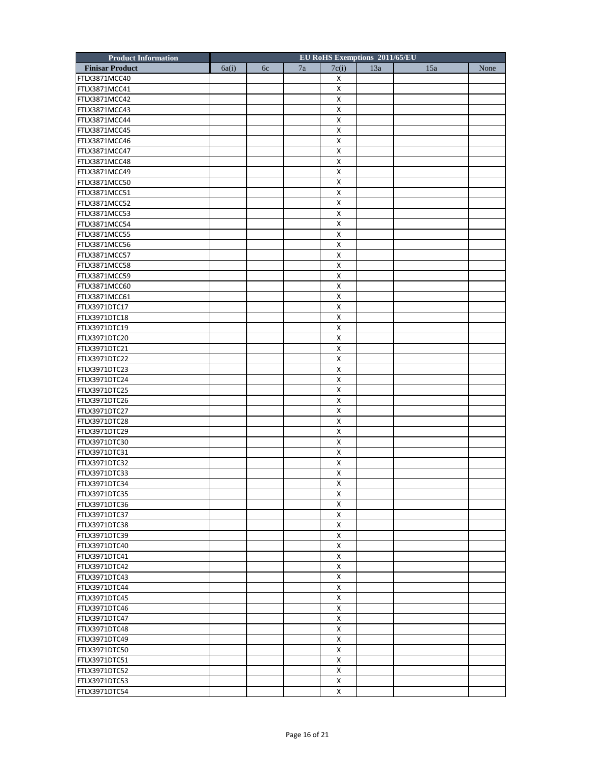| <b>Product Information</b> |       |    |    |                           | EU RoHS Exemptions 2011/65/EU |     |      |
|----------------------------|-------|----|----|---------------------------|-------------------------------|-----|------|
| <b>Finisar Product</b>     | 6a(i) | 6c | 7a | 7c(i)                     | 13a                           | 15a | None |
| FTLX3871MCC40              |       |    |    | Х                         |                               |     |      |
| FTLX3871MCC41              |       |    |    | Χ                         |                               |     |      |
| FTLX3871MCC42              |       |    |    | X                         |                               |     |      |
| FTLX3871MCC43              |       |    |    | X                         |                               |     |      |
| FTLX3871MCC44              |       |    |    | X                         |                               |     |      |
| FTLX3871MCC45              |       |    |    | X                         |                               |     |      |
| FTLX3871MCC46              |       |    |    | Χ                         |                               |     |      |
| FTLX3871MCC47              |       |    |    | X                         |                               |     |      |
| FTLX3871MCC48              |       |    |    | X                         |                               |     |      |
| FTLX3871MCC49              |       |    |    | X                         |                               |     |      |
| FTLX3871MCC50              |       |    |    | X                         |                               |     |      |
| FTLX3871MCC51              |       |    |    | Χ                         |                               |     |      |
| FTLX3871MCC52              |       |    |    | X                         |                               |     |      |
| FTLX3871MCC53              |       |    |    | X                         |                               |     |      |
| FTLX3871MCC54              |       |    |    | X                         |                               |     |      |
| FTLX3871MCC55              |       |    |    | X                         |                               |     |      |
| FTLX3871MCC56              |       |    |    | Χ                         |                               |     |      |
| FTLX3871MCC57              |       |    |    | X                         |                               |     |      |
| FTLX3871MCC58              |       |    |    | X                         |                               |     |      |
| FTLX3871MCC59              |       |    |    | X                         |                               |     |      |
| FTLX3871MCC60              |       |    |    | X                         |                               |     |      |
| FTLX3871MCC61              |       |    |    | Χ                         |                               |     |      |
| FTLX3971DTC17              |       |    |    | X                         |                               |     |      |
| FTLX3971DTC18              |       |    |    | X                         |                               |     |      |
| FTLX3971DTC19              |       |    |    | X                         |                               |     |      |
|                            |       |    |    |                           |                               |     |      |
| FTLX3971DTC20              |       |    |    | X                         |                               |     |      |
| FTLX3971DTC21              |       |    |    | Χ                         |                               |     |      |
| FTLX3971DTC22              |       |    |    | X                         |                               |     |      |
| FTLX3971DTC23              |       |    |    | $\boldsymbol{\mathsf{X}}$ |                               |     |      |
| FTLX3971DTC24              |       |    |    | $\pmb{\times}$            |                               |     |      |
| FTLX3971DTC25              |       |    |    | X                         |                               |     |      |
| FTLX3971DTC26              |       |    |    | Χ                         |                               |     |      |
| FTLX3971DTC27              |       |    |    | X                         |                               |     |      |
| FTLX3971DTC28              |       |    |    | X                         |                               |     |      |
| FTLX3971DTC29              |       |    |    | X                         |                               |     |      |
| FTLX3971DTC30              |       |    |    | X                         |                               |     |      |
| FTLX3971DTC31              |       |    |    | Х                         |                               |     |      |
| FTLX3971DTC32              |       |    |    | X                         |                               |     |      |
| FTLX3971DTC33              |       |    |    | X                         |                               |     |      |
| FTLX3971DTC34              |       |    |    | $\mathsf X$               |                               |     |      |
| FTLX3971DTC35              |       |    |    | Χ                         |                               |     |      |
| FTLX3971DTC36              |       |    |    | X                         |                               |     |      |
| FTLX3971DTC37              |       |    |    | X                         |                               |     |      |
| FTLX3971DTC38              |       |    |    | X                         |                               |     |      |
| FTLX3971DTC39              |       |    |    | X                         |                               |     |      |
| FTLX3971DTC40              |       |    |    | X                         |                               |     |      |
| FTLX3971DTC41              |       |    |    | Χ                         |                               |     |      |
| FTLX3971DTC42              |       |    |    | X                         |                               |     |      |
| FTLX3971DTC43              |       |    |    | X                         |                               |     |      |
| FTLX3971DTC44              |       |    |    | X                         |                               |     |      |
| FTLX3971DTC45              |       |    |    | Χ                         |                               |     |      |
| FTLX3971DTC46              |       |    |    | X                         |                               |     |      |
| FTLX3971DTC47              |       |    |    | X                         |                               |     |      |
| FTLX3971DTC48              |       |    |    | X                         |                               |     |      |
| FTLX3971DTC49              |       |    |    | $\pmb{\times}$            |                               |     |      |
| FTLX3971DTC50              |       |    |    | Χ                         |                               |     |      |
| FTLX3971DTC51              |       |    |    | X                         |                               |     |      |
| FTLX3971DTC52              |       |    |    | X                         |                               |     |      |
| FTLX3971DTC53              |       |    |    | X                         |                               |     |      |
| FTLX3971DTC54              |       |    |    | X                         |                               |     |      |
|                            |       |    |    |                           |                               |     |      |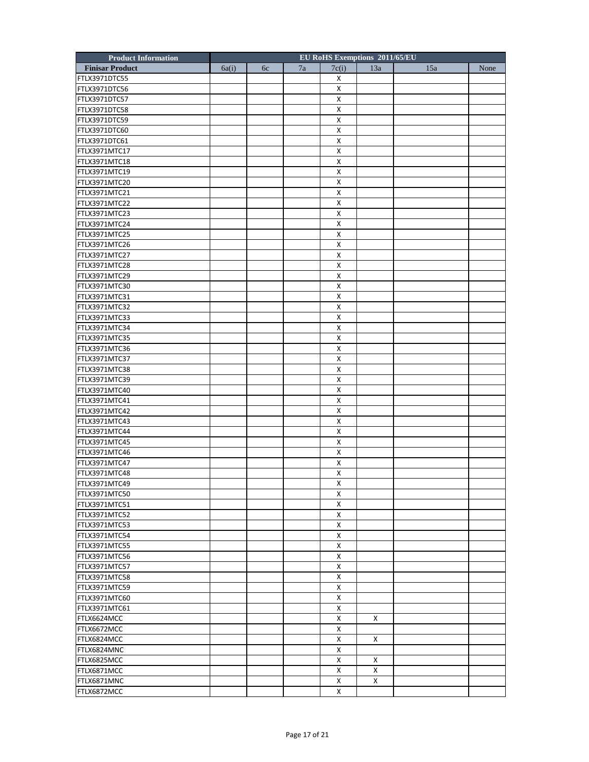| <b>Product Information</b> |       |    |    |                    | EU RoHS Exemptions 2011/65/EU |     |      |
|----------------------------|-------|----|----|--------------------|-------------------------------|-----|------|
| <b>Finisar Product</b>     | 6a(i) | 6c | 7a | 7c(i)              | 13a                           | 15a | None |
| FTLX3971DTC55              |       |    |    | х                  |                               |     |      |
| FTLX3971DTC56              |       |    |    | Χ                  |                               |     |      |
| FTLX3971DTC57              |       |    |    | Χ                  |                               |     |      |
| FTLX3971DTC58              |       |    |    | Χ                  |                               |     |      |
| FTLX3971DTC59              |       |    |    | X                  |                               |     |      |
| FTLX3971DTC60              |       |    |    | х                  |                               |     |      |
| FTLX3971DTC61              |       |    |    | Χ                  |                               |     |      |
| FTLX3971MTC17              |       |    |    | X                  |                               |     |      |
| FTLX3971MTC18              |       |    |    | X                  |                               |     |      |
| FTLX3971MTC19              |       |    |    | X                  |                               |     |      |
| FTLX3971MTC20              |       |    |    | х                  |                               |     |      |
| FTLX3971MTC21              |       |    |    | Χ                  |                               |     |      |
| FTLX3971MTC22              |       |    |    | Х                  |                               |     |      |
| FTLX3971MTC23              |       |    |    | X                  |                               |     |      |
| FTLX3971MTC24              |       |    |    | X                  |                               |     |      |
| FTLX3971MTC25              |       |    |    | х                  |                               |     |      |
| FTLX3971MTC26              |       |    |    | Χ                  |                               |     |      |
| FTLX3971MTC27              |       |    |    | Х                  |                               |     |      |
| FTLX3971MTC28              |       |    |    | X                  |                               |     |      |
| FTLX3971MTC29              |       |    |    | X                  |                               |     |      |
| FTLX3971MTC30              |       |    |    | х                  |                               |     |      |
| FTLX3971MTC31              |       |    |    | Χ                  |                               |     |      |
| FTLX3971MTC32              |       |    |    | Х                  |                               |     |      |
| FTLX3971MTC33              |       |    |    | X                  |                               |     |      |
| FTLX3971MTC34              |       |    |    | X                  |                               |     |      |
| FTLX3971MTC35              |       |    |    | х                  |                               |     |      |
| FTLX3971MTC36              |       |    |    | Χ                  |                               |     |      |
| FTLX3971MTC37              |       |    |    | Х                  |                               |     |      |
| FTLX3971MTC38              |       |    |    | X                  |                               |     |      |
| FTLX3971MTC39              |       |    |    | X                  |                               |     |      |
| FTLX3971MTC40              |       |    |    | х                  |                               |     |      |
| FTLX3971MTC41              |       |    |    | Χ                  |                               |     |      |
| FTLX3971MTC42              |       |    |    | Х                  |                               |     |      |
| FTLX3971MTC43              |       |    |    | X                  |                               |     |      |
| FTLX3971MTC44              |       |    |    | X                  |                               |     |      |
| FTLX3971MTC45              |       |    |    | х                  |                               |     |      |
| FTLX3971MTC46              |       |    |    | Χ                  |                               |     |      |
| FTLX3971MTC47              |       |    |    | Х                  |                               |     |      |
| FTLX3971MTC48              |       |    |    | X                  |                               |     |      |
| FTLX3971MTC49              |       |    |    | $\pmb{\mathsf{X}}$ |                               |     |      |
| FTLX3971MTC50              |       |    |    | Х                  |                               |     |      |
| FTLX3971MTC51              |       |    |    | X                  |                               |     |      |
| FTLX3971MTC52              |       |    |    | Χ                  |                               |     |      |
| FTLX3971MTC53              |       |    |    | X                  |                               |     |      |
| FTLX3971MTC54              |       |    |    | X                  |                               |     |      |
| FTLX3971MTC55              |       |    |    | $\pmb{\times}$     |                               |     |      |
| FTLX3971MTC56              |       |    |    | X                  |                               |     |      |
| FTLX3971MTC57              |       |    |    | Χ                  |                               |     |      |
| FTLX3971MTC58              |       |    |    | X                  |                               |     |      |
| FTLX3971MTC59              |       |    |    | X                  |                               |     |      |
| FTLX3971MTC60              |       |    |    | X                  |                               |     |      |
| FTLX3971MTC61              |       |    |    | X                  |                               |     |      |
| FTLX6624MCC                |       |    |    | Χ                  | Χ                             |     |      |
| FTLX6672MCC                |       |    |    | X                  |                               |     |      |
| FTLX6824MCC                |       |    |    | X                  | Χ                             |     |      |
| FTLX6824MNC                |       |    |    | $\pmb{\times}$     |                               |     |      |
| FTLX6825MCC                |       |    |    | X                  | X                             |     |      |
| FTLX6871MCC                |       |    |    | Χ                  | Χ                             |     |      |
| FTLX6871MNC                |       |    |    | X                  | X                             |     |      |
| FTLX6872MCC                |       |    |    | X                  |                               |     |      |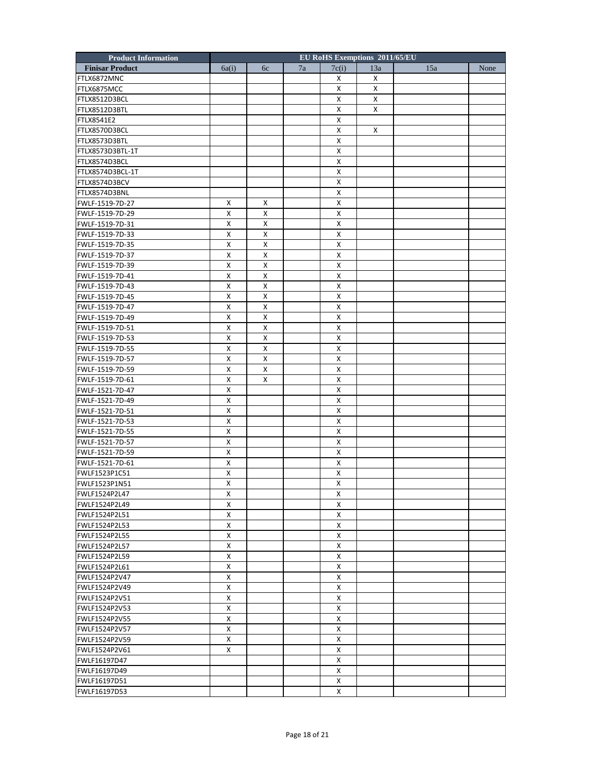| <b>Product Information</b> |                         |    |    |              | EU RoHS Exemptions 2011/65/EU |     |      |
|----------------------------|-------------------------|----|----|--------------|-------------------------------|-----|------|
| <b>Finisar Product</b>     | 6a(i)                   | 6c | 7a | 7c(i)        | 13a                           | 15a | None |
| FTLX6872MNC                |                         |    |    | X            | X                             |     |      |
| FTLX6875MCC                |                         |    |    | X            | X                             |     |      |
| FTLX8512D3BCL              |                         |    |    | X            | X                             |     |      |
| FTLX8512D3BTL              |                         |    |    | X            | x                             |     |      |
| <b>FTLX8541E2</b>          |                         |    |    | X            |                               |     |      |
| FTLX8570D3BCL              |                         |    |    | X            | X                             |     |      |
| FTLX8573D3BTL              |                         |    |    | X            |                               |     |      |
| FTLX8573D3BTL-1T           |                         |    |    | X            |                               |     |      |
| FTLX8574D3BCL              |                         |    |    | X            |                               |     |      |
| FTLX8574D3BCL-1T           |                         |    |    | X            |                               |     |      |
| FTLX8574D3BCV              |                         |    |    | X            |                               |     |      |
| FTLX8574D3BNL              |                         |    |    | X            |                               |     |      |
| FWLF-1519-7D-27            | X                       | X  |    | X            |                               |     |      |
| FWLF-1519-7D-29            | X                       | X  |    | X            |                               |     |      |
| FWLF-1519-7D-31            | X                       | X  |    | X            |                               |     |      |
| FWLF-1519-7D-33            | X                       | X  |    | X            |                               |     |      |
|                            |                         |    |    |              |                               |     |      |
| FWLF-1519-7D-35            | x                       | Х  |    | X            |                               |     |      |
| FWLF-1519-7D-37            | X                       | X  |    | X            |                               |     |      |
| FWLF-1519-7D-39            | X                       | X  |    | X            |                               |     |      |
| FWLF-1519-7D-41            | X                       | X  |    | X            |                               |     |      |
| FWLF-1519-7D-43            | X                       | X  |    | X            |                               |     |      |
| FWLF-1519-7D-45            | х                       | Х  |    | X            |                               |     |      |
| FWLF-1519-7D-47            | X                       | X  |    | X            |                               |     |      |
| FWLF-1519-7D-49            | X                       | X  |    | X            |                               |     |      |
| FWLF-1519-7D-51            | X                       | Х  |    | X            |                               |     |      |
| FWLF-1519-7D-53            | X                       | X  |    | X            |                               |     |      |
| FWLF-1519-7D-55            | х                       | Х  |    | X            |                               |     |      |
| FWLF-1519-7D-57            | X                       | X  |    | X            |                               |     |      |
| FWLF-1519-7D-59            | X                       | X  |    | X            |                               |     |      |
| FWLF-1519-7D-61            | $\pmb{\mathsf{X}}$      | X  |    | X            |                               |     |      |
| FWLF-1521-7D-47            | X                       |    |    | X            |                               |     |      |
| FWLF-1521-7D-49            | х                       |    |    | X            |                               |     |      |
| FWLF-1521-7D-51            | X                       |    |    | X            |                               |     |      |
| FWLF-1521-7D-53            | $\pmb{\mathsf{X}}$      |    |    | X            |                               |     |      |
| FWLF-1521-7D-55            | $\pmb{\mathsf{X}}$      |    |    | X            |                               |     |      |
| FWLF-1521-7D-57            | X                       |    |    | X            |                               |     |      |
| FWLF-1521-7D-59            | х                       |    |    | х            |                               |     |      |
| FWLF-1521-7D-61            | X                       |    |    | X            |                               |     |      |
| FWLF1523P1C51              | X                       |    |    | X            |                               |     |      |
| FWLF1523P1N51              | $\overline{\mathsf{X}}$ |    |    | $\pmb{\chi}$ |                               |     |      |
| FWLF1524P2L47              | Χ                       |    |    | X            |                               |     |      |
| FWLF1524P2L49              | X                       |    |    | X            |                               |     |      |
| FWLF1524P2L51              | X                       |    |    | X            |                               |     |      |
| FWLF1524P2L53              | х                       |    |    | X            |                               |     |      |
| <b>FWLF1524P2L55</b>       | X                       |    |    | X            |                               |     |      |
|                            |                         |    |    |              |                               |     |      |
| FWLF1524P2L57              | х                       |    |    | X            |                               |     |      |
| FWLF1524P2L59              | X                       |    |    | X            |                               |     |      |
| FWLF1524P2L61              | X                       |    |    | X            |                               |     |      |
| FWLF1524P2V47              | X                       |    |    | X            |                               |     |      |
| FWLF1524P2V49              | X                       |    |    | X            |                               |     |      |
| FWLF1524P2V51              | X                       |    |    | X            |                               |     |      |
| FWLF1524P2V53              | X                       |    |    | X            |                               |     |      |
| FWLF1524P2V55              | X                       |    |    | X            |                               |     |      |
| FWLF1524P2V57              | X                       |    |    | X            |                               |     |      |
| FWLF1524P2V59              | X                       |    |    | X            |                               |     |      |
| FWLF1524P2V61              | X                       |    |    | X            |                               |     |      |
| FWLF16197D47               |                         |    |    | X            |                               |     |      |
| FWLF16197D49               |                         |    |    | X            |                               |     |      |
| FWLF16197D51               |                         |    |    | X            |                               |     |      |
| FWLF16197D53               |                         |    |    | X            |                               |     |      |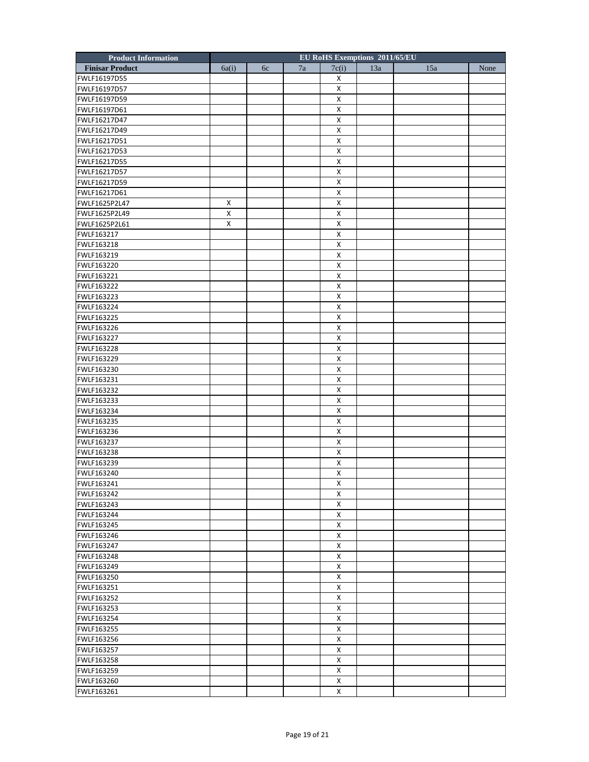| <b>Product Information</b> |                    |    |    | EU RoHS Exemptions 2011/65/EU |     |     |      |
|----------------------------|--------------------|----|----|-------------------------------|-----|-----|------|
| <b>Finisar Product</b>     | 6a(i)              | 6c | 7a | 7c(i)                         | 13a | 15a | None |
| FWLF16197D55               |                    |    |    | X                             |     |     |      |
| FWLF16197D57               |                    |    |    | X                             |     |     |      |
| FWLF16197D59               |                    |    |    | X                             |     |     |      |
| FWLF16197D61               |                    |    |    | X                             |     |     |      |
| FWLF16217D47               |                    |    |    | $\pmb{\mathsf{X}}$            |     |     |      |
| FWLF16217D49               |                    |    |    | X                             |     |     |      |
| FWLF16217D51               |                    |    |    | X                             |     |     |      |
| FWLF16217D53               |                    |    |    | X                             |     |     |      |
| FWLF16217D55               |                    |    |    | X                             |     |     |      |
| FWLF16217D57               |                    |    |    | $\pmb{\mathsf{X}}$            |     |     |      |
| FWLF16217D59               |                    |    |    | X                             |     |     |      |
| FWLF16217D61               |                    |    |    | X                             |     |     |      |
| FWLF1625P2L47              | Χ                  |    |    | X                             |     |     |      |
| FWLF1625P2L49              | X                  |    |    | X                             |     |     |      |
| FWLF1625P2L61              | $\pmb{\mathsf{X}}$ |    |    | $\pmb{\mathsf{X}}$            |     |     |      |
| FWLF163217                 |                    |    |    | X                             |     |     |      |
| FWLF163218                 |                    |    |    | X                             |     |     |      |
| FWLF163219                 |                    |    |    | X                             |     |     |      |
| FWLF163220                 |                    |    |    | $\pmb{\mathsf{X}}$            |     |     |      |
| FWLF163221                 |                    |    |    | $\pmb{\mathsf{X}}$            |     |     |      |
| FWLF163222                 |                    |    |    | X                             |     |     |      |
|                            |                    |    |    |                               |     |     |      |
| FWLF163223                 |                    |    |    | X                             |     |     |      |
| FWLF163224                 |                    |    |    | X                             |     |     |      |
| FWLF163225                 |                    |    |    | X                             |     |     |      |
| FWLF163226                 |                    |    |    | $\pmb{\mathsf{X}}$            |     |     |      |
| FWLF163227                 |                    |    |    | X                             |     |     |      |
| FWLF163228                 |                    |    |    | X                             |     |     |      |
| FWLF163229                 |                    |    |    | X                             |     |     |      |
| FWLF163230                 |                    |    |    | $\pmb{\mathsf{X}}$            |     |     |      |
| FWLF163231                 |                    |    |    | X                             |     |     |      |
| FWLF163232                 |                    |    |    | X                             |     |     |      |
| FWLF163233                 |                    |    |    | X                             |     |     |      |
| FWLF163234                 |                    |    |    | X                             |     |     |      |
| FWLF163235                 |                    |    |    | $\pmb{\mathsf{X}}$            |     |     |      |
| FWLF163236                 |                    |    |    | X                             |     |     |      |
| FWLF163237                 |                    |    |    | X                             |     |     |      |
| FWLF163238                 |                    |    |    | X                             |     |     |      |
| FWLF163239                 |                    |    |    | X                             |     |     |      |
| FWLF163240                 |                    |    |    | X                             |     |     |      |
| FWLF163241                 |                    |    |    | X                             |     |     |      |
| FWLF163242                 |                    |    |    | X                             |     |     |      |
| FWLF163243                 |                    |    |    | X                             |     |     |      |
| FWLF163244                 |                    |    |    | X                             |     |     |      |
| FWLF163245                 |                    |    |    | X                             |     |     |      |
| FWLF163246                 |                    |    |    | X                             |     |     |      |
| FWLF163247                 |                    |    |    | X                             |     |     |      |
| FWLF163248                 |                    |    |    | X                             |     |     |      |
| FWLF163249                 |                    |    |    | X                             |     |     |      |
| FWLF163250                 |                    |    |    | X                             |     |     |      |
| FWLF163251                 |                    |    |    | X                             |     |     |      |
| FWLF163252                 |                    |    |    | X                             |     |     |      |
| FWLF163253                 |                    |    |    | X                             |     |     |      |
| FWLF163254                 |                    |    |    | X                             |     |     |      |
| FWLF163255                 |                    |    |    | X                             |     |     |      |
| FWLF163256                 |                    |    |    | X                             |     |     |      |
| FWLF163257                 |                    |    |    | X                             |     |     |      |
| FWLF163258                 |                    |    |    | X                             |     |     |      |
|                            |                    |    |    | X                             |     |     |      |
| FWLF163259                 |                    |    |    | X                             |     |     |      |
| FWLF163260                 |                    |    |    |                               |     |     |      |
| FWLF163261                 |                    |    |    | X                             |     |     |      |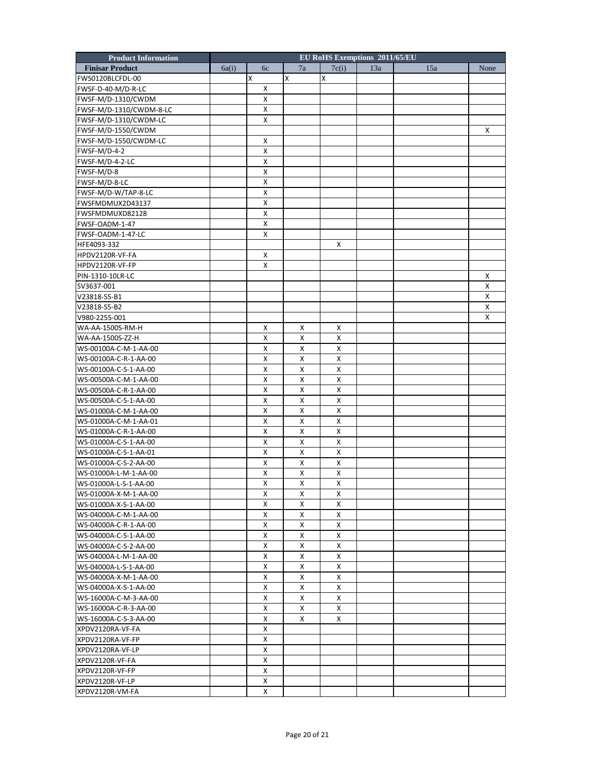| <b>Product Information</b> |       |   |    |   |                    |   |                    | EU RoHS Exemptions 2011/65/EU |     |      |
|----------------------------|-------|---|----|---|--------------------|---|--------------------|-------------------------------|-----|------|
| <b>Finisar Product</b>     | 6a(i) |   | 6c |   | 7a                 |   | 7c(i)              | 13a                           | 15a | None |
| FWS0120BLCFDL-00           |       | Χ |    | x |                    | x |                    |                               |     |      |
| FWSF-D-40-M/D-R-LC         |       |   | X  |   |                    |   |                    |                               |     |      |
| FWSF-M/D-1310/CWDM         |       |   | X  |   |                    |   |                    |                               |     |      |
| FWSF-M/D-1310/CWDM-8-LC    |       |   | X  |   |                    |   |                    |                               |     |      |
| FWSF-M/D-1310/CWDM-LC      |       |   | X  |   |                    |   |                    |                               |     |      |
| FWSF-M/D-1550/CWDM         |       |   |    |   |                    |   |                    |                               |     | X    |
| FWSF-M/D-1550/CWDM-LC      |       |   | х  |   |                    |   |                    |                               |     |      |
| FWSF-M/D-4-2               |       |   | X  |   |                    |   |                    |                               |     |      |
| FWSF-M/D-4-2-LC            |       |   | X  |   |                    |   |                    |                               |     |      |
| FWSF-M/D-8                 |       |   | X  |   |                    |   |                    |                               |     |      |
| FWSF-M/D-8-LC              |       |   | х  |   |                    |   |                    |                               |     |      |
| FWSF-M/D-W/TAP-8-LC        |       |   | X  |   |                    |   |                    |                               |     |      |
| FWSFMDMUX2D43137           |       |   | X  |   |                    |   |                    |                               |     |      |
| FWSFMDMUXD82128            |       |   | X  |   |                    |   |                    |                               |     |      |
| FWSF-OADM-1-47             |       |   | X  |   |                    |   |                    |                               |     |      |
|                            |       |   |    |   |                    |   |                    |                               |     |      |
| FWSF-OADM-1-47-LC          |       |   | X  |   |                    |   |                    |                               |     |      |
| HFE4093-332                |       |   |    |   |                    |   | X                  |                               |     |      |
| HPDV2120R-VF-FA            |       |   | X  |   |                    |   |                    |                               |     |      |
| HPDV2120R-VF-FP            |       |   | X  |   |                    |   |                    |                               |     |      |
| PIN-1310-10LR-LC           |       |   |    |   |                    |   |                    |                               |     | X    |
| SV3637-001                 |       |   |    |   |                    |   |                    |                               |     | X    |
| V23818-S5-B1               |       |   |    |   |                    |   |                    |                               |     | X    |
| V23818-S5-B2               |       |   |    |   |                    |   |                    |                               |     | X    |
| V980-2255-001              |       |   |    |   |                    |   |                    |                               |     | X    |
| WA-AA-1500S-RM-H           |       |   | x  |   | Х                  |   | X                  |                               |     |      |
| WA-AA-1500S-ZZ-H           |       |   | х  |   | х                  |   | х                  |                               |     |      |
| WS-00100A-C-M-1-AA-00      |       |   | X  |   | Х                  |   | X                  |                               |     |      |
| WS-00100A-C-R-1-AA-00      |       |   | X  |   | Х                  |   | X                  |                               |     |      |
| WS-00100A-C-S-1-AA-00      |       |   | X  |   | X                  |   | X                  |                               |     |      |
| WS-00500A-C-M-1-AA-00      |       |   | x  |   | X                  |   | X                  |                               |     |      |
| WS-00500A-C-R-1-AA-00      |       |   | х  |   | х                  |   | х                  |                               |     |      |
| WS-00500A-C-S-1-AA-00      |       |   | X  |   | Χ                  |   | X                  |                               |     |      |
| WS-01000A-C-M-1-AA-00      |       |   | X  |   | Χ                  |   | X                  |                               |     |      |
| WS-01000A-C-M-1-AA-01      |       |   | X  |   | X                  |   | X                  |                               |     |      |
| WS-01000A-C-R-1-AA-00      |       |   | X  |   | X                  |   | X                  |                               |     |      |
| WS-01000A-C-S-1-AA-00      |       |   | х  |   | Х                  |   | х                  |                               |     |      |
| WS-01000A-C-S-1-AA-01      |       |   | X  |   | Χ                  |   | X                  |                               |     |      |
| WS-01000A-C-S-2-AA-00      |       |   | X  |   | Χ                  |   | X                  |                               |     |      |
| WS-01000A-L-M-1-AA-00      |       |   | X  |   | X                  |   | X                  |                               |     |      |
| WS-01000A-L-S-1-AA-00      |       |   | X  |   | $\pmb{\mathsf{X}}$ |   | $\pmb{\mathsf{X}}$ |                               |     |      |
| WS-01000A-X-M-1-AA-00      |       |   | x  |   | х                  |   | х                  |                               |     |      |
| WS-01000A-X-S-1-AA-00      |       |   | X  |   | X                  |   | X                  |                               |     |      |
| WS-04000A-C-M-1-AA-00      |       |   | X  |   | х                  |   | X                  |                               |     |      |
| WS-04000A-C-R-1-AA-00      |       |   | X  |   | X                  |   | X                  |                               |     |      |
| WS-04000A-C-S-1-AA-00      |       |   | х  |   | х                  |   | х                  |                               |     |      |
| WS-04000A-C-S-2-AA-00      |       |   | X  |   | X                  |   | X                  |                               |     |      |
| WS-04000A-L-M-1-AA-00      |       |   | X  |   | X                  |   | X                  |                               |     |      |
|                            |       |   | X  |   |                    |   |                    |                               |     |      |
| WS-04000A-L-S-1-AA-00      |       |   |    |   | Χ                  |   | Χ                  |                               |     |      |
| WS-04000A-X-M-1-AA-00      |       |   | X  |   | X                  |   | X                  |                               |     |      |
| WS-04000A-X-S-1-AA-00      |       |   | x  |   | Х                  |   | X                  |                               |     |      |
| WS-16000A-C-M-3-AA-00      |       |   | X  |   | Χ                  |   | X                  |                               |     |      |
| WS-16000A-C-R-3-AA-00      |       |   | X  |   | X                  |   | X                  |                               |     |      |
| WS-16000A-C-S-3-AA-00      |       |   | X  |   | X                  |   | x                  |                               |     |      |
| XPDV2120RA-VF-FA           |       |   | X  |   |                    |   |                    |                               |     |      |
| XPDV2120RA-VF-FP           |       |   | x  |   |                    |   |                    |                               |     |      |
| XPDV2120RA-VF-LP           |       |   | X  |   |                    |   |                    |                               |     |      |
| XPDV2120R-VF-FA            |       |   | X  |   |                    |   |                    |                               |     |      |
| XPDV2120R-VF-FP            |       |   | X  |   |                    |   |                    |                               |     |      |
| XPDV2120R-VF-LP            |       |   | X  |   |                    |   |                    |                               |     |      |
| XPDV2120R-VM-FA            |       |   | X  |   |                    |   |                    |                               |     |      |